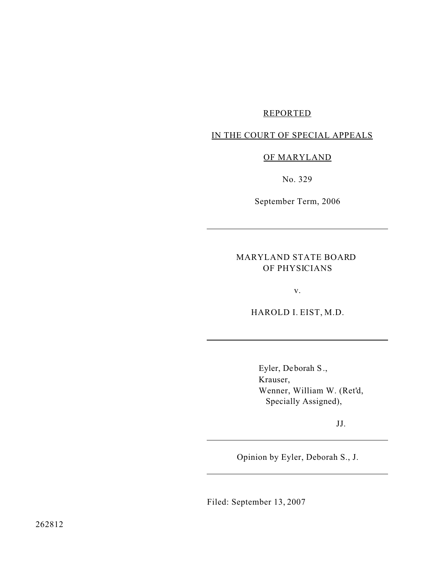### REPORTED

## IN THE COURT OF SPECIAL APPEALS

### OF MARYLAND

No. 329

September Term, 2006

## MARYLAND STATE BOARD OF PHYSICIANS

v.

HAROLD I. EIST, M.D.

Eyler, Deborah S., Krauser, Wenner, William W. (Ret'd, Specially Assigned),

JJ.

Opinion by Eyler, Deborah S., J.

Filed: September 13, 2007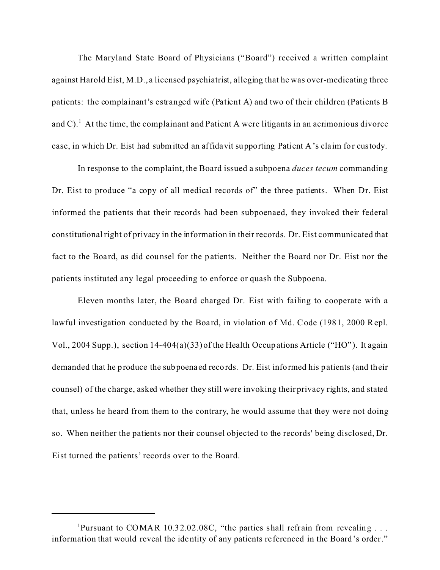The Maryland State Board of Physicians ("Board") received a written complaint against Harold Eist, M.D., a licensed psychiatrist, alleging that he was over-medicating three patients: the complainant's estranged wife (Patient A) and two of their children (Patients B and C).  $^1$  At the time, the complainant and Patient A were litigants in an acrimonious divorce case, in which Dr. Eist had submitted an affidavit supporting Patient A's cla im for custody.

In response to the complaint, the Board issued a subpoena *duces tecum* commanding Dr. Eist to produce "a copy of all medical records of" the three patients. When Dr. Eist informed the patients that their records had been subpoenaed, they invoked their federal constitutional right of privacy in the information in their records. Dr. Eist communicated that fact to the Board, as did counsel for the patients. Neither the Board nor Dr. Eist nor the patients instituted any legal proceeding to enforce or quash the Subpoena.

Eleven months later, the Board charged Dr. Eist with failing to cooperate with a lawful investigation conducted by the Board, in violation of Md. Code (1981, 2000 Repl. Vol., 2004 Supp.), section 14-404(a)(33) of the Health Occupations Article ("HO" ). It again demanded that he produce the subpoena ed records. Dr. Eist informed his patients (and their counsel) of the charge, asked whether they still were invoking their privacy rights, and stated that, unless he heard from them to the contrary, he would assume that they were not doing so. When neither the patients nor their counsel objected to the records' being disclosed, Dr. Eist turned the patients' records over to the Board.

<sup>&</sup>lt;sup>1</sup>Pursuant to COMAR 10.32.02.08C, "the parties shall refrain from revealing . . . information that would reveal the identity of any patients re ferenced in the Board's order."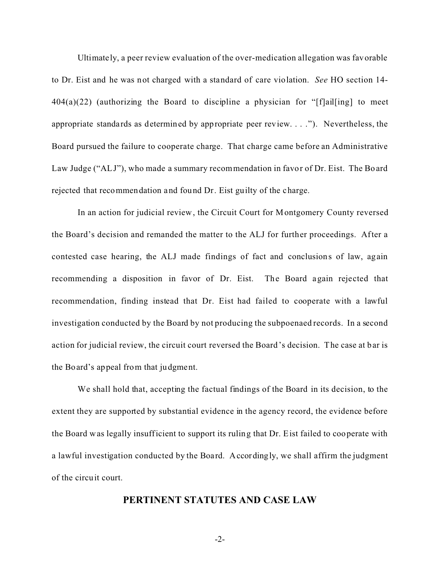Ultimate ly, a peer review evaluation of the over-medication allegation was favorable to Dr. Eist and he was not charged with a standard of care violation. *See* HO section 14-  $404(a)(22)$  (authorizing the Board to discipline a physician for "[f]ail[ing] to meet appropriate standards as determined by appropriate peer review. . . ."). Nevertheless, the Board pursued the failure to cooperate charge. That charge came before an Administrative Law Judge ("ALJ"), who made a summary recommendation in favor of Dr. Eist. The Board rejected that recommendation and found Dr. Eist guilty of the charge.

In an action for judicial review, the Circuit Court for Montgomery County reversed the Board's decision and remanded the matter to the ALJ for further proceedings. After a contested case hearing, the ALJ made findings of fact and conclusions of law, again recommending a disposition in favor of Dr. Eist. The Board again rejected that recommendation, finding instead that Dr. Eist had failed to cooperate with a lawful investigation conducted by the Board by not producing the subpoenaed records. In a second action for judicial review, the circuit court reversed the Board's decision. The case at bar is the Board's appeal from that judgment.

We shall hold that, accepting the factual findings of the Board in its decision, to the extent they are supported by substantial evidence in the agency record, the evidence before the Board was legally insufficient to support its ruling that Dr. Eist failed to cooperate with a lawful investigation conducted by the Board. Accordingly, we shall affirm the judgment of the circuit court.

### **PERTINENT STATUTES AND CASE LAW**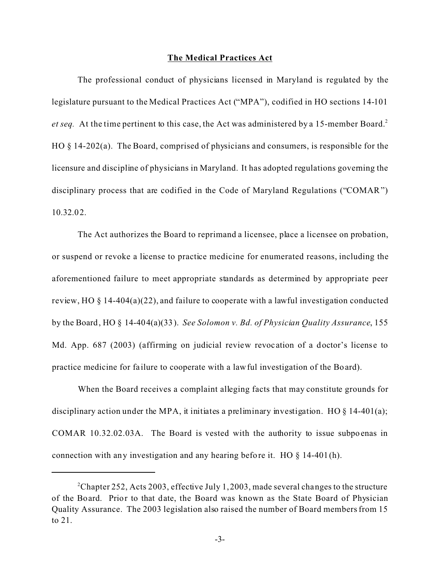### **The Medical Practices Act**

The professional conduct of physicians licensed in Maryland is regulated by the legislature pursuant to the Medical Practices Act ("MPA"), codified in HO sections 14-101 *et seq.* At the time pertinent to this case, the Act was administered by a 15-member Board.<sup>2</sup> HO § 14-202(a). The Board, comprised of physicians and consumers, is responsible for the licensure and discipline of physicians in Maryland. It has adopted regulations governing the disciplinary process that are codified in the Code of Maryland Regulations ("COMAR") 10.32.02.

The Act authorizes the Board to reprimand a licensee, place a licensee on probation, or suspend or revoke a license to practice medicine for enumerated reasons, including the aforementioned failure to meet appropriate standards as determined by appropriate peer review, HO § 14-404(a)(22), and failure to cooperate with a lawful investigation conducted by the Board, HO § 14-404(a)(33). *See Solomon v. Bd. of Physician Quality Assurance*, 155 Md. App. 687 (2003) (affirming on judicial review revoc ation of a doctor's license to practice medicine for fa ilure to cooperate with a lawful investigation of the Board).

When the Board receives a complaint alleging facts that may constitute grounds for disciplinary action under the MPA, it initiates a preliminary investigation. HO  $\S$  14-401(a); COMAR 10.32.02.03A. The Board is vested with the authority to issue subpoenas in connection with any investigation and any hearing before it. HO  $\S$  14-401(h).

<sup>&</sup>lt;sup>2</sup>Chapter 252, Acts 2003, effective July 1, 2003, made several changes to the structure of the Board. Prior to that date, the Board was known as the State Board of Physician Quality Assurance. The 2003 legislation also raised the number of Board members from 15 to 21.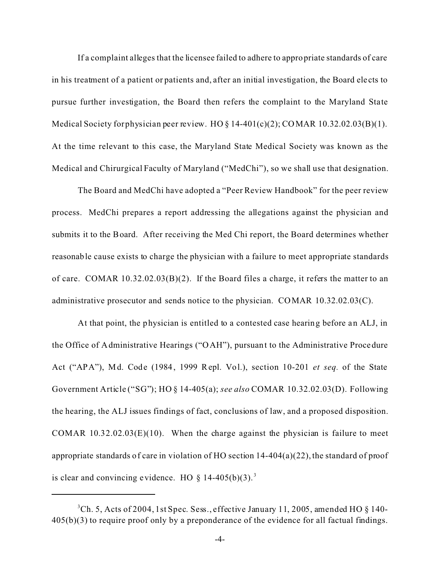If a complaint alleges that the licensee failed to adhere to appropriate standards of care in his treatment of a patient or patients and, after an initial investigation, the Board ele cts to pursue further investigation, the Board then refers the complaint to the Maryland State Medical Society for physician peer review. HO  $\S$  14-401(c)(2); COMAR 10.32.02.03(B)(1). At the time relevant to this case, the Maryland State Medical Society was known as the Medical and Chirurgical Faculty of Maryland ("MedChi"), so we shall use that designation.

The Board and MedChi have adopted a "Peer Review Handbook" for the peer review process. MedChi prepares a report addressing the allegations against the physician and submits it to the Board. After receiving the Med Chi report, the Board determines whether reasonable cause exists to charge the physician with a failure to meet appropriate standards of care. COMAR 10.32.02.03(B)(2). If the Board files a charge, it refers the matter to an administrative prosecutor and sends notice to the physician. COMAR 10.32.02.03(C).

At that point, the physician is entitled to a contested case hearing before an ALJ, in the Office of Administrative Hearings ("OAH"), pursuant to the Administrative Procedure Act ("APA"), Md. Code (1984, 1999 Repl. Vol.), section 10-201 *et seq.* of the State Government Article ("SG"); HO § 14-405(a); *see also* COMAR 10.32.02.03(D). Following the hearing, the ALJ issues findings of fact, conclusions of law, and a proposed disposition. COMAR  $10.32.02.03(E)(10)$ . When the charge against the physician is failure to meet appropriate standards of care in violation of HO section 14-404(a)(22), the standard of proof is clear and convincing evidence. HO  $\S$  14-405(b)(3).<sup>3</sup>

 $3<sup>3</sup>$ Ch. 5, Acts of 2004, 1st Spec. Sess., effective January 11, 2005, amended HO  $\&$  140-405(b)(3) to require proof only by a preponderance of the evidence for all factual findings.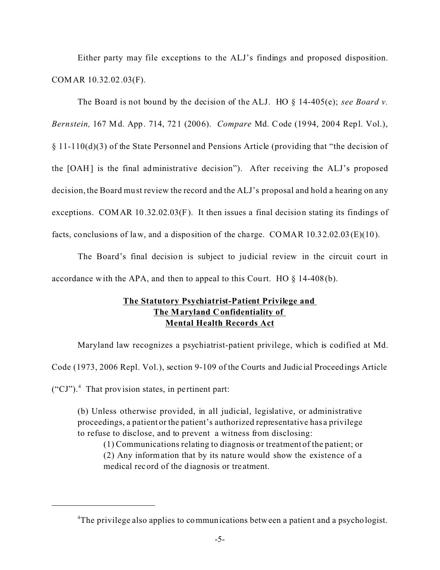Either party may file exceptions to the ALJ's findings and proposed disposition. COMAR 10.32.02.03(F).

The Board is not bound by the decision of the ALJ. HO § 14-405(e); *see Board v. Bernstein,* 167 Md. App. 714, 721 (2006). *Compare* Md. Code (1994, 2004 Repl. Vol.), § 11-110(d)(3) of the State Personnel and Pensions Article (providing that "the decision of the [OAH] is the final administrative decision"). After receiving the ALJ's proposed decision, the Board must review the record and the ALJ's proposal and hold a hearing on any exceptions. COMAR 10.32.02.03(F). It then issues a final decision stating its findings of facts, conclusions of law, and a disposition of the charge. COMAR 10.32.02.03(E)(10).

The Board's final decision is subject to judicial review in the circuit court in accordance with the APA, and then to appeal to this Court. HO  $\S$  14-408(b).

## **The Statutory Psychiatrist-Patient Privilege and The Maryland Confidentiality of Mental Health Records Act**

Maryland law recognizes a psychiatrist-patient privilege, which is codified at Md.

Code (1973, 2006 Repl. Vol.), section 9-109 of the Courts and Judicial Proceedings Article

 $("CI")$ .<sup>4</sup> That provision states, in pertinent part:

(b) Unless otherwise provided, in all judicial, legislative, or administrative proceedings, a patient or the patient's authorized representative has a privilege to refuse to disclose, and to prevent a witness from disclosing:

(1) Communications relating to diagnosis or treatment of the patient; or (2) Any information that by its nature would show the existence of a medical record of the diagnosis or tre atment.

<sup>&</sup>lt;sup>4</sup>The privilege also applies to communications between a patient and a psychologist.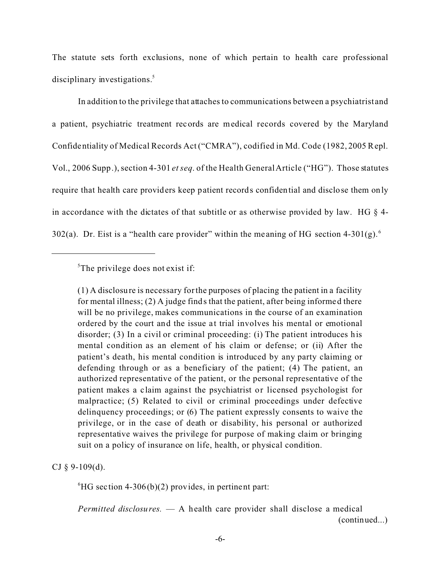The statute sets forth exclusions, none of which pertain to health care professional disciplinary investigations.<sup>5</sup>

In addition to the privilege that attaches to communications between a psychiatristand a patient, psychiatric treatment records are medical records covered by the Maryland Confidentiality of Medical Records Act ("CMRA"), codified in Md. Code (1982, 2005 Repl. Vol., 2006 Supp.), section 4-301 *et seq*. of the Health General Article ("HG"). Those statutes require that health care providers keep patient records confidential and disclose them only in accordance with the dictates of that subtitle or as otherwise provided by law. HG  $\S$  4-302(a). Dr. Eist is a "health care provider" within the meaning of HG section 4-301(g).<sup>6</sup>

(1) A disclosure is necessary for the purposes of placing the patient in a facility for mental illness; (2) A judge finds that the patient, after being informed there will be no privilege, makes communications in the course of an examination ordered by the court and the issue at trial involves his mental or emotional disorder; (3) In a civil or criminal proceeding: (i) The patient introduces his mental condition as an element of his claim or defense; or (ii) After the patient's death, his mental condition is introduced by any party claiming or defending through or as a beneficiary of the patient; (4) The patient, an authorized representative of the patient, or the personal representative of the patient makes a c laim against the psychiatrist or licensed psychologist for malpractice; (5) Related to civil or criminal proceedings under defective delinquency proceedings; or (6) The patient expressly consents to waive the privilege, or in the case of death or disability, his personal or authorized representative waives the privilege for purpose of making claim or bringing suit on a policy of insurance on life, health, or physical condition.

CJ  $§$  9-109(d).

 ${}^{6}$ HG section 4-306(b)(2) provides, in pertinent part:

*Permitted disclosures.* — A health care provider shall disclose a medical (continued...)

 ${}^5$ The privilege does not exist if: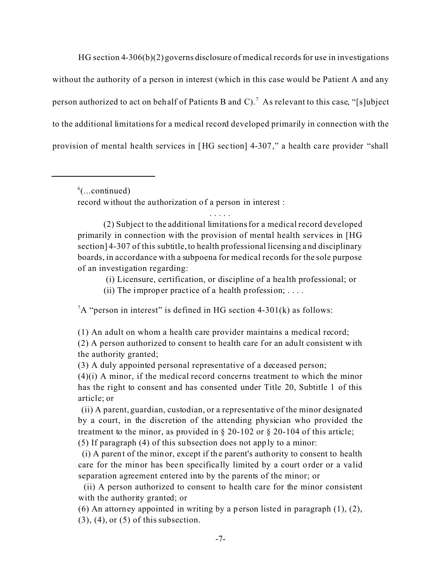HG section 4-306(b)(2) governs disclosure of medical records for use in investigations without the authority of a person in interest (which in this case would be Patient A and any person authorized to act on behalf of Patients B and C).<sup>7</sup> As relevant to this case, "[s]ubject to the additional limitations for a medical record developed primarily in connection with the provision of mental health services in [HG sec tion] 4-307," a health care provider "shall

 $\delta$ (...continued)

record without the authorization of a person in interest :

(2) Subject to the additional limitations for a medical record developed primarily in connection with the provision of mental health services in [HG section] 4-307 of this subtitle, to health professional licensing and disciplinary boards, in accordance with a subpoena for medical records for the sole purpose of an investigation regarding:

. . . . .

(i) Licensure, certification, or discipline of a hea lth professional; or

(ii) The improper practice of a health profession;  $\dots$ 

 ${}^{7}A$  "person in interest" is defined in HG section 4-301(k) as follows:

(1) An adult on whom a health care provider maintains a medical record;

(2) A person authorized to consent to health care for an adult consistent with the authority granted;

(3) A duly appointed personal representative of a deceased person;

(4)(i) A minor, if the medical record concerns treatment to which the minor has the right to consent and has consented under Title 20, Subtitle 1 of this article; or

 (ii) A parent, guardian, custodian, or a representative of the minor designated by a court, in the discretion of the attending physician who provided the treatment to the minor, as provided in  $\S 20-102$  or  $\S 20-104$  of this article; (5) If paragraph (4) of this subsection does not apply to a minor:

 (i) A parent of the minor, except if the parent's authority to consent to health care for the minor has been specifica lly limited by a court order or a valid separation agreement entered into by the parents of the minor; or

 (ii) A person authorized to consent to health care for the minor consistent with the authority granted; or

(6) An attorney appointed in writing by a person listed in paragraph (1), (2),  $(3)$ ,  $(4)$ , or  $(5)$  of this subsection.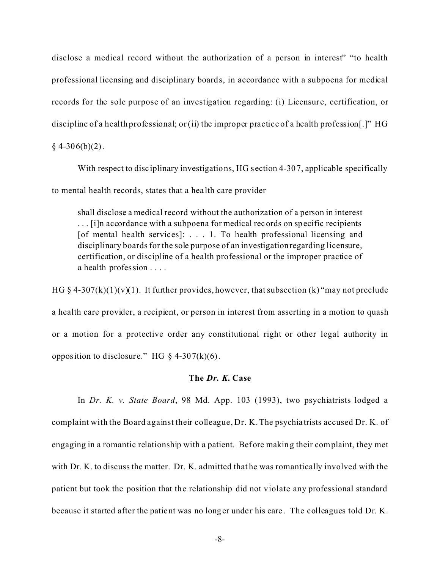disclose a medical record without the authorization of a person in interest" "to health professional licensing and disciplinary boards, in accordance with a subpoena for medical records for the sole purpose of an investigation regarding: (i) Licensure, certification, or discipline of a health professional; or (ii) the improper practice of a health profession [.]"  $HG$  $§$  4-306(b)(2).

With respect to disciplinary investigations, HG section 4-307, applicable specifically to mental health records, states that a hea lth care provider

shall disclose a medical record without the authorization of a person in interest . . . [i]n accordance with a subpoena for medical records on specific recipients [of mental health services]: . . . 1. To health professional licensing and disciplinary boards for the sole purpose of an investigationregarding licensure, certification, or discipline of a health professional or the improper practice of a health profession . . . .

HG § 4-307(k)(1)(v)(1). It further provides, however, that subsection (k) "may not preclude a health care provider, a recipient, or person in interest from asserting in a motion to quash or a motion for a protective order any constitutional right or other legal authority in opposition to disclosure." HG  $\S$  4-307(k)(6).

### **The** *Dr. K.* **Case**

In *Dr. K. v. State Board*, 98 Md. App. 103 (1993), two psychiatrists lodged a complaint with the Board against their colleague, Dr. K. The psychia trists accused Dr. K. of engaging in a romantic relationship with a patient. Before making their complaint, they met with Dr. K. to discuss the matter. Dr. K. admitted that he was romantically involved with the patient but took the position that the relationship did not violate any professional standard because it started after the patient was no longer under his care. The colleagues told Dr. K.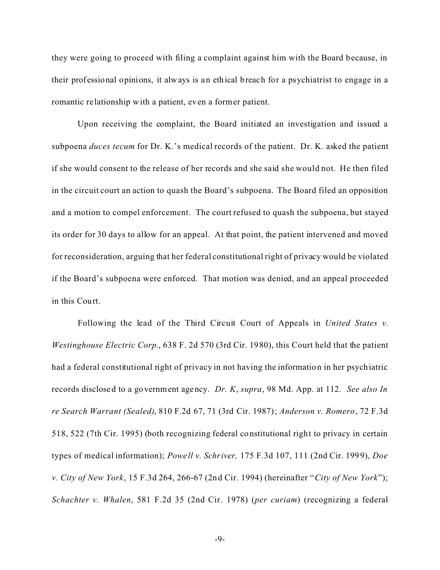they were going to proceed with filing a complaint against him with the Board because, in their prof essional opinions, it always is an ethical breach for a psychiatrist to engage in a romantic relationship with a patient, even a former patient.

Upon receiving the complaint, the Board initiated an investigation and issued a subpoena *duces tecum* for Dr. K.'s medical records of the patient. Dr. K. asked the patient if she would consent to the release of her records and she said she would not. He then filed in the circuit court an action to quash the Board's subpoena. The Board filed an opposition and a motion to compel enforcement. The court refused to quash the subpoena, but stayed its order for 30 days to allow for an appeal. At that point, the patient intervened and moved for reconsideration, arguing that her federal constitutional right of privacy would be violated if the Board's subpoena were enforced. That motion was denied, and an appeal proceeded in this Court.

Following the lead of the Third Circuit Court of Appeals in *United States v. Westinghouse Electric Corp.*, 638 F. 2d 570 (3rd Cir. 1980), this Court held that the patient had a federal constitutional right of privacy in not having the information in her psychiatric records disclosed to a government agency. *Dr. K*, *supra*, 98 Md. App. at 112. *See also In re Search Warrant (Sealed)*, 810 F.2d 67, 71 (3rd Cir. 1987); *Anderson v. Romero*, 72 F.3d 518, 522 (7th Cir. 1995) (both recognizing federal constitutional right to privacy in certain types of medical information); *Powe ll v. Schriver,* 175 F.3d 107, 111 (2nd Cir. 1999), *Doe v. City of New York*, 15 F.3d 264, 266-67 (2nd Cir. 1994) (hereinafter "*City of New York*"); *Schachter v. Whalen*, 581 F.2d 35 (2nd Cir. 1978) (*per curiam*) (recognizing a federal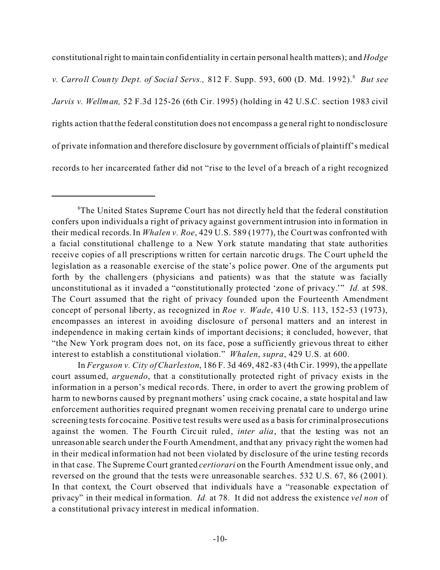constitutional right to maintain confidentiality in certain personal health matters); and *Hodge v. Carroll County Dept. of Social Servs.,* 812 F. Supp. 593, 600 (D. Md. 1992).<sup>8</sup> But see *Jarvis v. Wellman,* 52 F.3d 125-26 (6th Cir. 1995) (holding in 42 U.S.C. section 1983 civil rights action that the federal constitution does not encompass a general right to nondisclosure of private information and therefore disclosure by government officials of plaintiff's medical records to her incarcerated father did not "rise to the level of a breach of a right recognized

In *Ferguson v. City of Charleston*, 186 F. 3d 469, 482-83 (4th Cir. 1999), the appellate court assumed, *arguendo*, that a constitutionally protected right of privacy exists in the information in a person's medical records. There, in order to avert the growing problem of harm to newborns caused by pregnant mothers' using crack cocaine, a state hospital and law enforcement authorities required pregnant women receiving prenatal care to undergo urine screening tests for cocaine. Positive test results were used as a basis for criminal prosecutions against the women. The Fourth Circuit ruled, *inter alia*, that the testing was not an unreasonable search under the Fourth Amendment, and that any privacy right the women had in their medical information had not been violated by disclosure of the urine testing records in that case. The Supreme Court granted *certiorari* on the Fourth Amendment issue only, and reversed on the ground that the tests were unreasonable searches. 532 U.S. 67, 86 (2001). In that context, the Court observed that individuals have a "reasonable expectation of privacy" in their medical informa tion. *Id.* at 78. It did not address the existence *vel non* of a constitutional privacy interest in medical information.

<sup>&</sup>lt;sup>8</sup>The United States Supreme Court has not directly held that the federal constitution confers upon individuals a right of privacy against government intrusion into information in their medical records. In *Whalen v. Roe*, 429 U.S. 589 (1977), the Court was confronted with a facial constitutional challenge to a New York statute mandating that state authorities receive copies of all prescriptions written for certain narcotic drugs. The Court upheld the legislation as a reasonable exercise of the state's police power. One of the arguments put forth by the challengers (physicians and patients) was that the statute was facially unconstitutional as it invaded a "constitutionally protected 'zone of privacy.'" *Id.* at 598. The Court assumed that the right of privacy founded upon the Fourteenth Amendment concept of personal liberty, as recognized in *Roe v. Wade*, 410 U.S. 113, 152-53 (1973), encompasses an interest in avoiding disclosure of personal matters and an interest in independence in making certain kinds of important decisions; it concluded, however, that "the New York program does not, on its face, pose a sufficiently grievous threat to either interest to establish a constitutional violation." *Whalen*, *supra*, 429 U.S. at 600.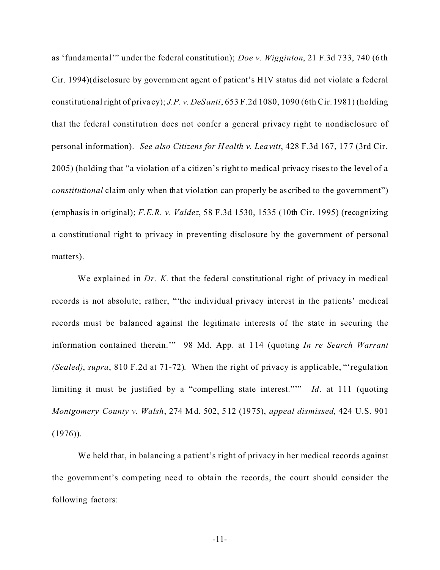as 'fundamental'" under the federal constitution); *Doe v. Wigginton*, 21 F.3d 733, 740 (6th Cir. 1994)(disclosure by government agent of patient's HIV status did not violate a federal constitutional right of priva cy); *J.P. v. DeSanti*, 653 F.2d 1080, 1090 (6th Cir. 1981) (holding that the federal constitution does not confer a general privacy right to nondisclosure of personal information). *See also Citizens for Health v. Leavitt*, 428 F.3d 167, 177 (3rd Cir. 2005) (holding that "a violation of a citizen's right to medical privacy rises to the level of a *constitutional* claim only when that violation can properly be ascribed to the government") (emphasis in original); *F.E.R. v. Valdez*, 58 F.3d 1530, 1535 (10th Cir. 1995) (recognizing a constitutional right to privacy in preventing disclosure by the government of personal matters).

We explained in *Dr. K.* that the federal constitutional right of privacy in medical records is not absolute; rather, "'the individual privacy interest in the patients' medical records must be balanced against the legitimate interests of the state in securing the information contained therein.'" 98 Md. App. at 1 14 (quoting *In re Search Warrant (Sealed)*, *supra*, 810 F.2d at 71-72). When the right of privacy is applicable, "'regulation limiting it must be justified by a "compelling state interest."'" *Id*. at 111 (quoting *Montgomery County v. Walsh*, 274 Md. 502, 512 (1975), *appeal dismissed*, 424 U.S. 901  $(1976)$ .

We held that, in balancing a patient's right of privacy in her medical records against the government's competing need to obtain the records, the court should consider the following factors: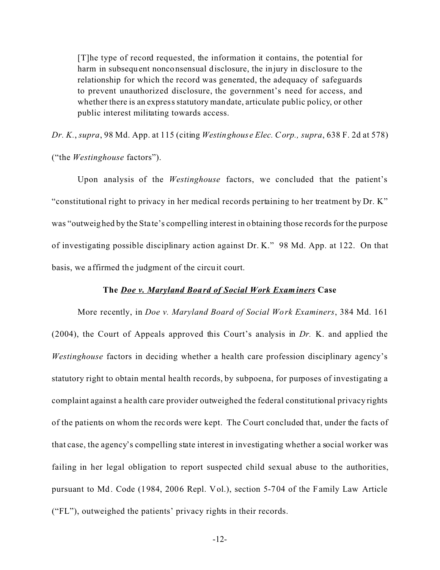[T]he type of record requested, the information it contains, the potential for harm in subsequent nonconsensual disclosure, the injury in disclosure to the relationship for which the record was generated, the adequacy of safeguards to prevent unauthorized disclosure, the government's need for access, and whether there is an express statutory mandate, articulate public policy, or other public interest militating towards access.

*Dr. K.*, *supra*, 98 Md. App. at 115 (citing *Westinghouse Elec. Corp., supra*, 638 F. 2d at 578) ("the *Westinghouse* factors").

Upon analysis of the *Westinghouse* factors, we concluded that the patient's "constitutional right to privacy in her medical records pertaining to her treatment by Dr. K" was "outweighed by the Sta te's compelling interest in obtaining those records for the purpose of investigating possible disciplinary action against Dr. K." 98 Md. App. at 122. On that basis, we affirmed the judgment of the circuit court.

## **The** *Doe v. Maryland Board of Social Work Examiners* **Case**

More recently, in *Doe v. Maryland Board of Social Work Examiners*, 384 Md. 161 (2004), the Court of Appeals approved this Court's analysis in *Dr.* K. and applied the *Westinghouse* factors in deciding whether a health care profession disciplinary agency's statutory right to obtain mental health records, by subpoena, for purposes of investigating a complaint against a he alth care provider outweighed the federal constitutional privacy rights of the patients on whom the records were kept. The Court concluded that, under the facts of that case, the agency's compelling state interest in investigating whether a social worker was failing in her legal obligation to report suspected child sexual abuse to the authorities, pursuant to Md. Code (1984, 2006 Repl. Vol.), section 5-704 of the Family Law Article ("FL"), outweighed the patients' privacy rights in their records.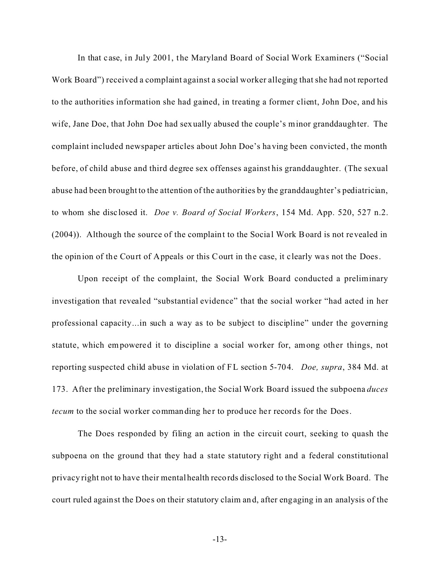In that c ase, in July 2001, the Maryland Board of Social Work Examiners ("Social Work Board") received a complaint against a social worker alleging that she had not reported to the authorities information she had gained, in treating a former client, John Doe, and his wife, Jane Doe, that John Doe had sexually abused the couple's minor granddaughter. The complaint included newspaper articles about John Doe's having been convicted, the month before, of child abuse and third degree sex offenses against his granddaughter. (The sexual abuse had been brought to the attention of the authorities by the granddaughter's pediatrician, to whom she disc losed it. *Doe v. Board of Social Workers*, 154 Md. App. 520, 527 n.2. (2004)). Although the source of the complaint to the Social Work Board is not revealed in the opinion of the Court of Appeals or this Court in the case, it c learly was not the Does.

Upon receipt of the complaint, the Social Work Board conducted a preliminary investigation that revealed "substantial evidence" that the social worker "had acted in her professional capacity...in such a way as to be subject to discipline" under the governing statute, which empowered it to discipline a social worker for, among other things, not reporting suspected child abuse in violation of FL section 5-704. *Doe, supra*, 384 Md. at 173. After the preliminary investigation, the Social Work Board issued the subpoena *duces tecum* to the social worker commanding her to produce her records for the Does.

The Does responded by filing an action in the circuit court, seeking to quash the subpoena on the ground that they had a state statutory right and a federal constitutional privacy right not to have their mental health records disclosed to the Social Work Board. The court ruled against the Does on their statutory claim and, after engaging in an analysis of the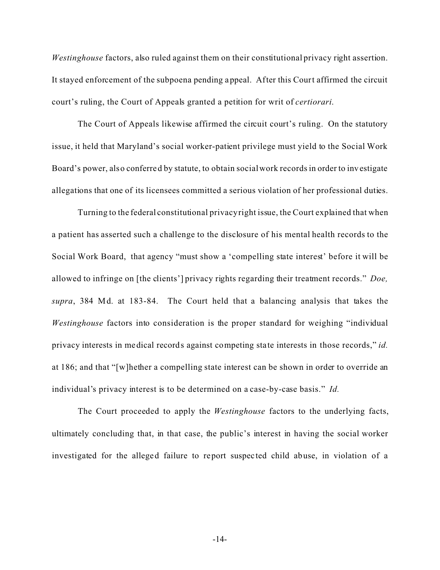*Westinghouse* factors, also ruled against them on their constitutional privacy right assertion. It stayed enforcement of the subpoena pending appeal. After this Court affirmed the circuit court's ruling, the Court of Appeals granted a petition for writ of *certiorari*.

The Court of Appeals likewise affirmed the circuit court's ruling. On the statutory issue, it held that Maryland's social worker-patient privilege must yield to the Social Work Board's power, also conferred by statute, to obtain social work records in order to investigate allegations that one of its licensees committed a serious violation of her professional duties.

Turning to the federal constitutional privacy right issue, the Court explained that when a patient has asserted such a challenge to the disclosure of his mental health records to the Social Work Board, that agency "must show a 'compelling state interest' before it will be allowed to infringe on [the clients'] privacy rights regarding their treatment records." *Doe, supra*, 384 Md. at 183-84. The Court held that a balancing analysis that takes the *Westinghouse* factors into consideration is the proper standard for weighing "individual privacy interests in medical records against competing state interests in those records," *id.* at 186; and that "[w]hether a compelling state interest can be shown in order to override an individual's privacy interest is to be determined on a case-by-case basis." *Id.*

The Court proceeded to apply the *Westinghouse* factors to the underlying facts, ultimately concluding that, in that case, the public's interest in having the social worker investigated for the alleged failure to report suspec ted child abuse, in violation of a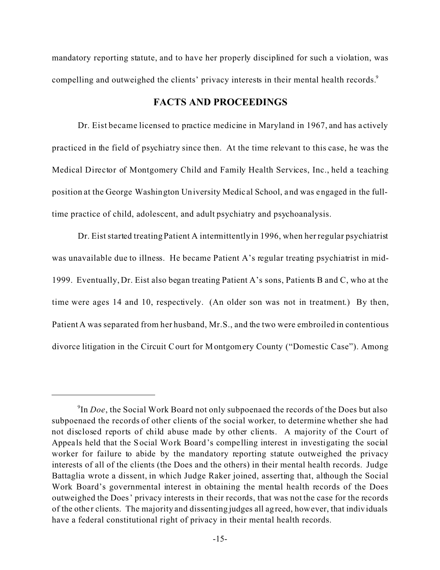mandatory reporting statute, and to have her properly disciplined for such a violation, was compelling and outweighed the clients' privacy interests in their mental health records.<sup>9</sup>

## **FACTS AND PROCEEDINGS**

Dr. Eist became licensed to practice medicine in Maryland in 1967, and has actively practiced in the field of psychiatry since then. At the time relevant to this case, he was the Medical Director of Montgomery Child and Family Health Services, Inc., held a teaching position at the George Washington University Medic al School, and was engaged in the fulltime practice of child, adolescent, and adult psychiatry and psychoanalysis.

Dr. Eist started treating Patient A intermittently in 1996, when her regular psychiatrist was unavailable due to illness. He became Patient A's regular treating psychiatrist in mid-1999. Eventually, Dr. Eist also began treating Patient A's sons, Patients B and C, who at the time were ages 14 and 10, respectively. (An older son was not in treatment.) By then, Patient A was separated from her husband, Mr.S., and the two were embroiled in contentious divorce litigation in the Circuit Court for Montgomery County ("Domestic Case"). Among

<sup>9</sup> In *Doe*, the Social Work Board not only subpoenaed the records of the Does but also subpoenaed the records of other clients of the social worker, to determine whether she had not disclosed reports of child abuse made by other clients. A majority of the Court of Appeals held that the Social Work Board's compe lling interest in investigating the social worker for failure to abide by the mandatory reporting statute outweighed the privacy interests of all of the clients (the Does and the others) in their mental health records. Judge Battaglia wrote a dissent, in which Judge Raker joined, asserting that, although the Social Work Board's governmental interest in obtaining the mental health records of the Does outweighed the Does' privacy interests in their records, that was not the case for the records of the other clients. The majority and dissenting judges all agreed, however, that individuals have a federal constitutional right of privacy in their mental health records.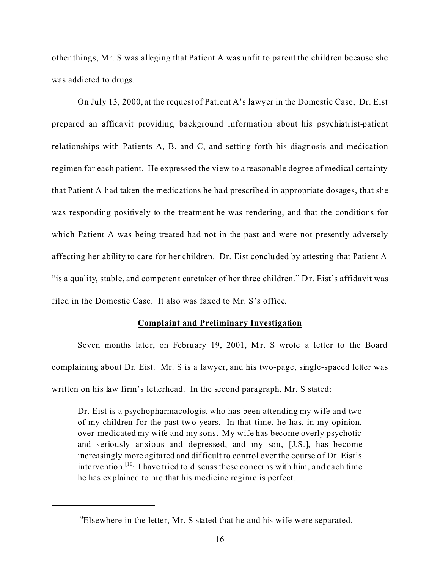other things, Mr. S was alleging that Patient A was unfit to parent the children because she was addicted to drugs.

On July 13, 2000, at the request of Patient A's lawyer in the Domestic Case, Dr. Eist prepared an affidavit providing background information about his psychiatrist-patient relationships with Patients A, B, and C, and setting forth his diagnosis and medication regimen for each patient. He expressed the view to a reasonable degree of medical certainty that Patient A had taken the medications he had prescribed in appropriate dosages, that she was responding positively to the treatment he was rendering, and that the conditions for which Patient A was being treated had not in the past and were not presently adversely affecting her ability to care for her children. Dr. Eist concluded by attesting that Patient A "is a quality, stable, and competent caretaker of her three children." Dr. Eist's affidavit was filed in the Domestic Case. It also was faxed to Mr. S's office.

#### **Complaint and Preliminary Investigation**

Seven months later, on February 19, 2001, Mr. S wrote a letter to the Board complaining about Dr. Eist. Mr. S is a lawyer, and his two-page, single-spaced letter was written on his law firm's letterhead. In the second paragraph, Mr. S stated:

Dr. Eist is a psychopharmacologist who has been attending my wife and two of my children for the past two years. In that time, he has, in my opinion, over-medicated my wife and my sons. My wife has become overly psychotic and seriously anxious and depressed, and my son, [J.S.], has become increasingly more agita ted and difficult to control over the course of Dr. Eist's intervention.<sup>[10]</sup> I have tried to discuss these concerns with him, and each time he has explained to me that his medicine regime is perfect.

 $10E$ lsewhere in the letter, Mr. S stated that he and his wife were separated.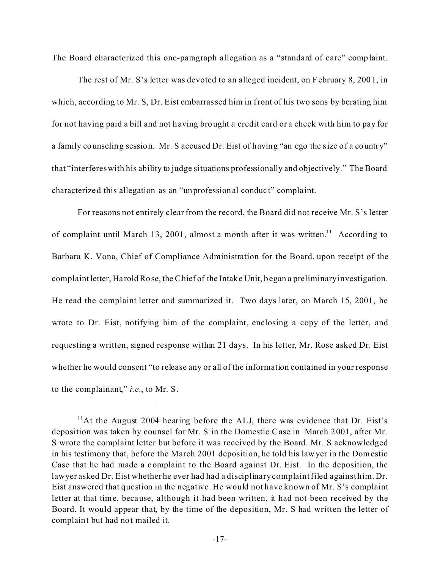The Board characterized this one-paragraph allegation as a "standard of care" complaint.

The rest of Mr. S's letter was devoted to an alleged incident, on February 8, 2001, in which, according to Mr. S, Dr. Eist embarrassed him in front of his two sons by berating him for not having paid a bill and not having brought a credit card or a check with him to pay for a family counseling session. Mr. S accused Dr. Eist of having "an ego the size of a country" that "interferes with his ability to judge situations professionally and objectively." The Board characterized this allegation as an "unprofessional conduc t" complaint.

For reasons not entirely clear from the record, the Board did not receive Mr. S's letter of complaint until March 13, 2001, almost a month after it was written.<sup>11</sup> According to Barbara K. Vona, Chief of Compliance Administration for the Board, upon receipt of the complaint letter, Ha rold Rose, the Chief of the Intake Unit, began a preliminary investigation. He read the complaint letter and summarized it. Two days later, on March 15, 2001, he wrote to Dr. Eist, notifying him of the complaint, enclosing a copy of the letter, and requesting a written, signed response within 21 days. In his letter, Mr. Rose asked Dr. Eist whether he would consent "to release any or all of the information contained in your response to the complainant," *i.e.*, to Mr. S.

<sup>&</sup>lt;sup>11</sup>At the August 2004 hearing before the ALJ, there was evidence that Dr. Eist's deposition was taken by counsel for Mr. S in the Domestic Case in March 2001, after Mr. S wrote the complaint letter but before it was received by the Board. Mr. S acknowledged in his testimony that, before the March 2001 deposition, he told his lawyer in the Domestic Case that he had made a complaint to the Board against Dr. Eist. In the deposition, the lawyer asked Dr. Eist whether he ever had had a disciplinary complaint filed against him. Dr. Eist answered that question in the negative. He would not have known of Mr. S's complaint letter at that time, because, although it had been written, it had not been received by the Board. It would appear that, by the time of the deposition, Mr. S had written the letter of complaint but had not mailed it.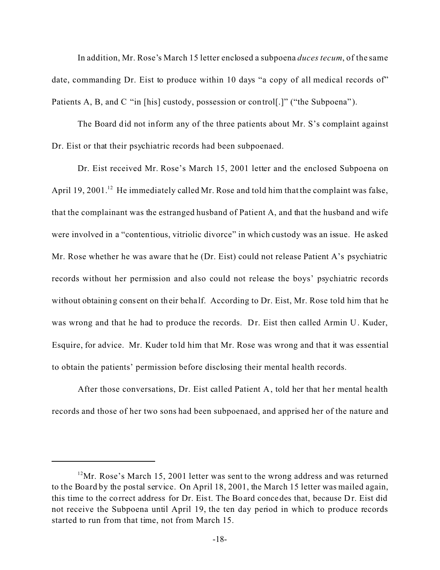In addition, Mr. Rose's March 15 letter enclosed a subpoena *duces tecum*, of the same date, commanding Dr. Eist to produce within 10 days "a copy of all medical records of" Patients A, B, and C "in [his] custody, possession or control[.]" ("the Subpoena").

The Board did not inform any of the three patients about Mr. S's complaint against Dr. Eist or that their psychiatric records had been subpoenaed.

Dr. Eist received Mr. Rose's March 15, 2001 letter and the enclosed Subpoena on April 19, 2001.<sup>12</sup> He immediately called Mr. Rose and told him that the complaint was false, that the complainant was the estranged husband of Patient A, and that the husband and wife were involved in a "contentious, vitriolic divorce" in which custody was an issue. He asked Mr. Rose whether he was aware that he (Dr. Eist) could not release Patient A's psychiatric records without her permission and also could not release the boys' psychiatric records without obtaining consent on their beha lf. According to Dr. Eist, Mr. Rose told him that he was wrong and that he had to produce the records. Dr. Eist then called Armin U. Kuder, Esquire, for advice. Mr. Kuder told him that Mr. Rose was wrong and that it was essential to obtain the patients' permission before disclosing their mental health records.

After those conversations, Dr. Eist called Patient A, told her that he r mental he alth records and those of her two sons had been subpoenaed, and apprised her of the nature and

 $12$ Mr. Rose's March 15, 2001 letter was sent to the wrong address and was returned to the Board by the postal service. On April 18, 2001, the March 15 letter was mailed again, this time to the correct address for Dr. Eist. The Board concedes that, because Dr. Eist did not receive the Subpoena until April 19, the ten day period in which to produce records started to run from that time, not from March 15.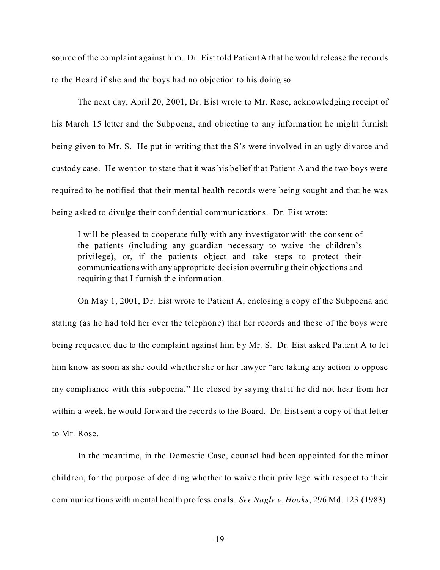source of the complaint against him. Dr. Eist told Patient A that he would release the records to the Board if she and the boys had no objection to his doing so.

The next day, April 20, 2001, Dr. Eist wrote to Mr. Rose, acknowledging receipt of his March 15 letter and the Subpoena, and objecting to any informa tion he might furnish being given to Mr. S. He put in writing that the S's were involved in an ugly divorce and custody case. He went on to state that it was his belief that Patient A and the two boys were required to be notified that their mental health records were being sought and that he was being asked to divulge their confidential communications. Dr. Eist wrote:

I will be pleased to cooperate fully with any investigator with the consent of the patients (including any guardian necessary to waive the children's privilege), or, if the patients object and take steps to protect their communications with any appropriate decision overruling their objections and requiring that I furnish the information.

On May 1, 2001, Dr. Eist wrote to Patient A, enclosing a copy of the Subpoena and stating (as he had told her over the telephone) that her records and those of the boys were being requested due to the complaint against him by Mr. S. Dr. Eist asked Patient A to let him know as soon as she could whether she or her lawyer "are taking any action to oppose my compliance with this subpoena." He closed by saying that if he did not hear from her within a week, he would forward the records to the Board. Dr. Eist sent a copy of that letter to Mr. Rose.

In the meantime, in the Domestic Case, counsel had been appointed for the minor children, for the purpose of deciding whe ther to waive their privilege with respect to their communications with mental he alth professionals. *See Nagle v. Hooks*, 296 Md. 123 (1983).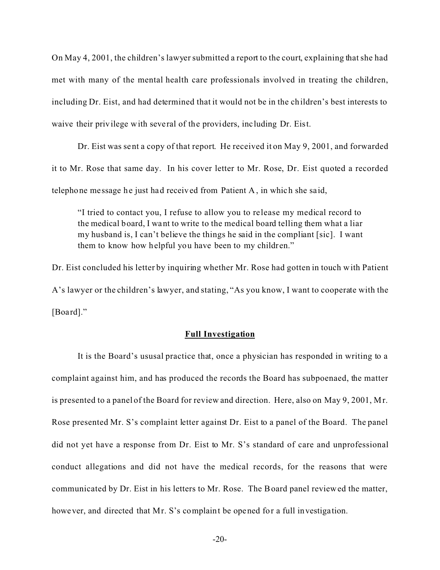On May 4, 2001, the children's lawyer submitted a report to the court, explaining that she had met with many of the mental health care professionals involved in treating the children, including Dr. Eist, and had determined that it would not be in the children's best interests to waive their privilege with several of the providers, inc luding Dr. Eist.

Dr. Eist was sent a copy of that report. He received it on May 9, 2001, and forwarded it to Mr. Rose that same day. In his cover letter to Mr. Rose, Dr. Eist quoted a recorded telephone message he just had received from Patient A, in which she sa id,

"I tried to contact you, I refuse to allow you to release my medical record to the medical board, I want to write to the medical board telling them what a liar my husband is, I can't believe the things he said in the compliant [sic]. I want them to know how helpful you have been to my children."

Dr. Eist concluded his letter by inquiring whether Mr. Rose had gotten in touch with Patient A's lawyer or the children's lawyer, and stating, "As you know, I want to cooperate with the [Board]."

### **Full Investigation**

It is the Board's ususal practice that, once a physician has responded in writing to a complaint against him, and has produced the records the Board has subpoenaed, the matter is presented to a panel of the Board for review and direction. Here, also on May 9, 2001, Mr. Rose presented Mr. S's complaint letter against Dr. Eist to a panel of the Board. The panel did not yet have a response from Dr. Eist to Mr. S's standard of care and unprofessional conduct allegations and did not have the medical records, for the reasons that were communicated by Dr. Eist in his letters to Mr. Rose. The Board panel reviewed the matter, however, and directed that Mr. S's complaint be opened for a full investigation.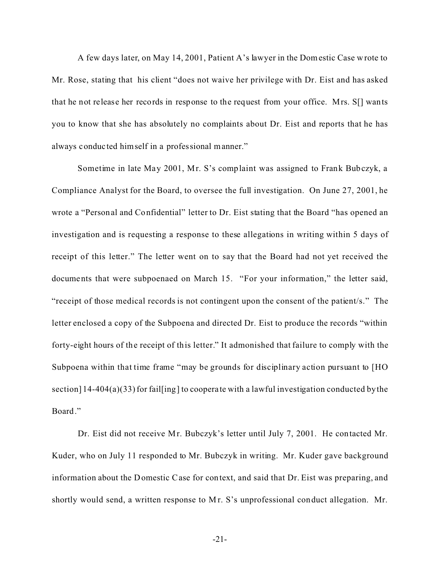A few days later, on May 14, 2001, Patient A's lawyer in the Domestic Case wrote to Mr. Rose, stating that his client "does not waive her privilege with Dr. Eist and has asked that he not release her records in response to the request from your office. Mrs. S[] wants you to know that she has absolutely no complaints about Dr. Eist and reports that he has always conduc ted himself in a professional manner."

Sometime in late May 2001, Mr. S's complaint was assigned to Frank Bubczyk, a Compliance Analyst for the Board, to oversee the full investigation. On June 27, 2001, he wrote a "Personal and Confidential" letter to Dr. Eist stating that the Board "has opened an investigation and is requesting a response to these allegations in writing within 5 days of receipt of this letter." The letter went on to say that the Board had not yet received the documents that were subpoenaed on March 15. "For your information," the letter said, "receipt of those medical records is not contingent upon the consent of the patient/s." The letter enclosed a copy of the Subpoena and directed Dr. Eist to produce the records "within forty-eight hours of the receipt of this letter." It admonished that failure to comply with the Subpoena within that time frame "may be grounds for disciplinary action pursuant to [HO section] 14-404(a)(33) for fail[ing] to coopera te with a lawful investigation conducted by the Board."

Dr. Eist did not receive Mr. Bubczyk's letter until July 7, 2001. He contacted Mr. Kuder, who on July 11 responded to Mr. Bubczyk in writing. Mr. Kuder gave background information about the Domestic Case for context, and said that Dr. Eist was preparing, and shortly would send, a written response to Mr. S's unprofessional conduct allegation. Mr.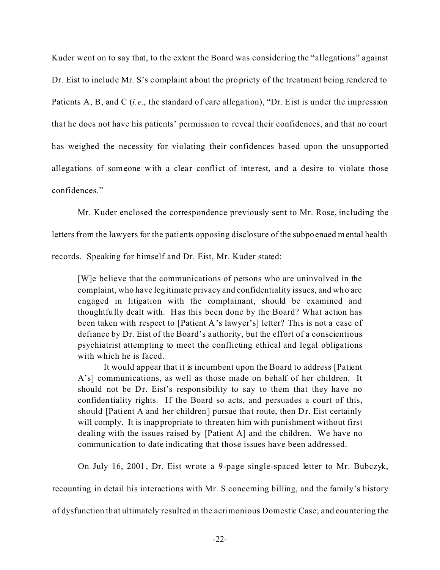Kuder went on to say that, to the extent the Board was considering the "allegations" against Dr. Eist to include Mr. S's complaint about the propriety of the treatment being rendered to Patients A, B, and C *(i.e.*, the standard of care allegation), "Dr. Eist is under the impression that he does not have his patients' permission to reveal their confidences, and that no court has weighed the necessity for violating their confidences based upon the unsupported allegations of someone with a clear conflict of interest, and a desire to violate those confidences."

Mr. Kuder enclosed the correspondence previously sent to Mr. Rose, including the

letters from the lawyers for the patients opposing disclosure of the subpoenaed mental health

records. Speaking for himself and Dr. Eist, Mr. Kuder stated:

[W]e believe that the communications of persons who are uninvolved in the complaint, who have legitimate privacy and confidentiality issues, and who are engaged in litigation with the complainant, should be examined and thoughtfully dealt with. Has this been done by the Board? What action has been taken with respect to [Patient A's lawyer's] letter? This is not a case of defiance by Dr. Eist of the Board's authority, but the effort of a conscientious psychiatrist attempting to meet the conflicting ethical and legal obligations with which he is faced.

It would appear that it is incumbent upon the Board to address [Patient A's] communications, as well as those made on behalf of her children. It should not be Dr. Eist's responsibility to say to them that they have no confidentiality rights. If the Board so acts, and persuades a court of this, should [Patient A and her children] pursue that route, then Dr. Eist certainly will comply. It is inappropriate to threaten him with punishment without first dealing with the issues raised by [Patient A] and the children. We have no communication to date indicating that those issues have been addressed.

On July 16, 2001, Dr. Eist wrote a 9-page single-spaced letter to Mr. Bubczyk,

recounting in detail his interactions with Mr. S concerning billing, and the family's history

of dysfunction that ultimately resulted in the acrimonious Domestic Case; and countering the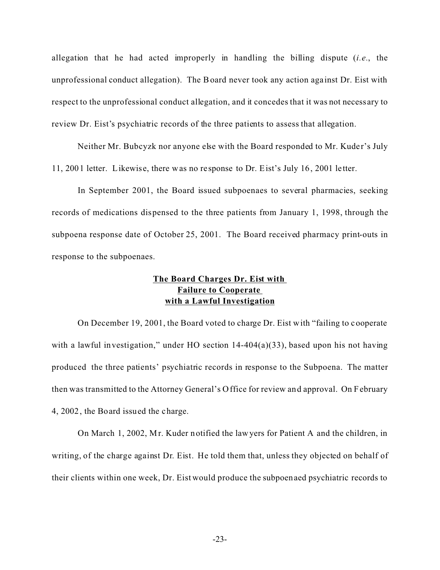allegation that he had acted improperly in handling the billing dispute (*i.e.*, the unprofessional conduct allegation). The Board never took any action against Dr. Eist with respect to the unprofessional conduct allegation, and it concedes that it was not necess ary to review Dr. Eist's psychiatric records of the three patients to assess that allegation.

Neither Mr. Bubcyzk nor anyone else with the Board responded to Mr. Kuder's July 11, 2001 letter. Likewise, there was no response to Dr. Eist's July 16, 2001 le tter.

In September 2001, the Board issued subpoenaes to several pharmacies, seeking records of medications dispensed to the three patients from January 1, 1998, through the subpoena response date of October 25, 2001. The Board received pharmacy print-outs in response to the subpoenaes.

## **The Board Charges Dr. Eist with Failure to Cooperate with a Lawful Investigation**

On December 19, 2001, the Board voted to charge Dr. Eist with "failing to cooperate with a lawful investigation," under HO section 14-404(a)(33), based upon his not having produced the three patients' psychiatric records in response to the Subpoena. The matter then was transmitted to the Attorney General's Office for review and approval. On February 4, 2002, the Board issued the charge.

On March 1, 2002, Mr. Kuder notified the lawyers for Patient A and the children, in writing, of the charge against Dr. Eist. He told them that, unless they objected on behalf of their clients within one week, Dr. Eist would produce the subpoenaed psychiatric records to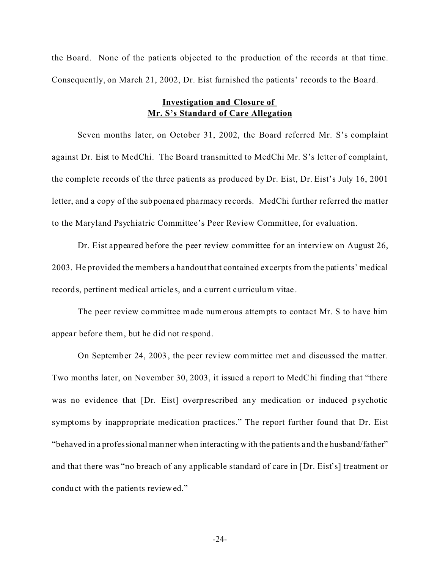the Board. None of the patients objected to the production of the records at that time. Consequently, on March 21, 2002, Dr. Eist furnished the patients' records to the Board.

### **Investigation and Closure of Mr. S's Standard of Care Allegation**

Seven months later, on October 31, 2002, the Board referred Mr. S's complaint against Dr. Eist to MedChi. The Board transmitted to MedChi Mr. S's letter of complaint, the complete records of the three patients as produced by Dr. Eist, Dr. Eist's July 16, 2001 letter, and a copy of the subpoenaed pharmacy records. MedChi further referred the matter to the Maryland Psychiatric Committee's Peer Review Committee, for evaluation.

Dr. Eist appeared before the peer review committee for an interview on August 26, 2003. He provided the members a handout that contained excerpts from the patients' medical records, pertinent medical article s, and a current curriculum vitae.

The peer review committee made numerous attempts to contact Mr. S to have him appear before them, but he did not respond.

On September 24, 2003, the peer review committee met and discussed the ma tter. Two months later, on November 30, 2003, it issued a report to MedChi finding that "there was no evidence that [Dr. Eist] overprescribed any medication or induced psychotic symptoms by inappropriate medication practices." The report further found that Dr. Eist "behaved in a professional manner when interacting with the patients and the husband/father" and that there was "no breach of any applicable standard of care in [Dr. Eist's] treatment or conduct with the patients reviewed."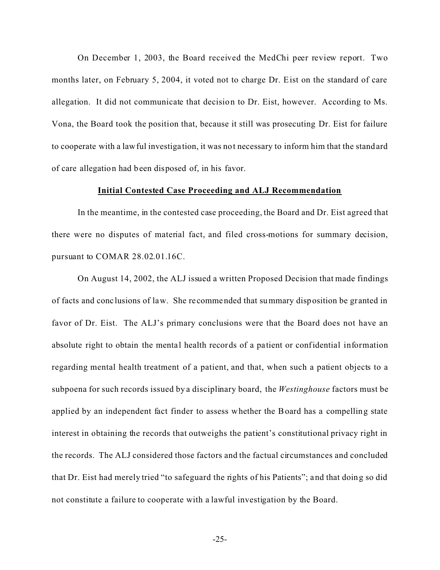On December 1, 2003, the Board received the MedChi peer review report. Two months later, on February 5, 2004, it voted not to charge Dr. Eist on the standard of care allegation. It did not communicate that decision to Dr. Eist, however. According to Ms. Vona, the Board took the position that, because it still was prosecuting Dr. Eist for failure to cooperate with a lawful investiga tion, it was not necessary to inform him that the standard of care allegation had been disposed of, in his favor.

### **Initial Contested Case Proceeding and ALJ Recommendation**

In the meantime, in the contested case proceeding, the Board and Dr. Eist agreed that there were no disputes of material fact, and filed cross-motions for summary decision, pursuant to COMAR 28.02.01.16C.

On August 14, 2002, the ALJ issued a written Proposed Decision that made findings of facts and conc lusions of law. She re commended that summary disposition be granted in favor of Dr. Eist. The ALJ's primary conclusions were that the Board does not have an absolute right to obtain the mental health records of a patient or confidential information regarding mental health treatment of a patient, and that, when such a patient objects to a subpoena for such records issued by a disciplinary board, the *Westinghouse* factors must be applied by an independent fact finder to assess whether the Board has a compelling state interest in obtaining the records that outweighs the patient's constitutional privacy right in the records. The ALJ considered those factors and the factual circumstances and concluded that Dr. Eist had merely tried "to safeguard the rights of his Patients"; and that doing so did not constitute a failure to cooperate with a lawful investigation by the Board.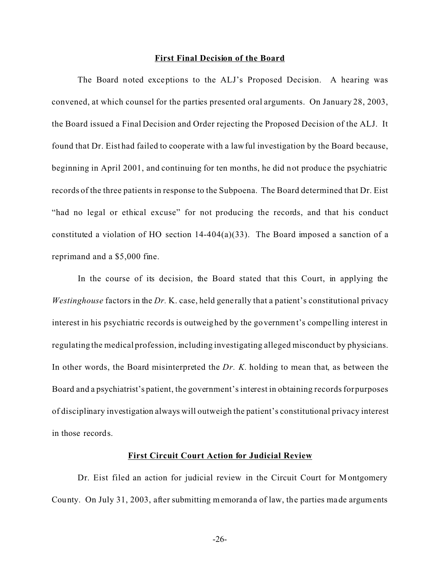#### **First Final Decision of the Board**

The Board noted exceptions to the ALJ's Proposed Decision. A hearing was convened, at which counsel for the parties presented oral arguments. On January 28, 2003, the Board issued a Final Decision and Order rejecting the Proposed Decision of the ALJ. It found that Dr. Eist had failed to cooperate with a lawful investigation by the Board because, beginning in April 2001, and continuing for ten months, he did not produce the psychiatric records of the three patients in response to the Subpoena. The Board determined that Dr. Eist "had no legal or ethical excuse" for not producing the records, and that his conduct constituted a violation of HO section 14-404(a)(33). The Board imposed a sanction of a reprimand and a \$5,000 fine.

In the course of its decision, the Board stated that this Court, in applying the *Westinghouse* factors in the *Dr.* K. case, held generally that a patient's constitutional privacy interest in his psychiatric records is outweighed by the government's compelling interest in regulating the medical profession, including investigating alleged misconduct by physicians. In other words, the Board misinterpreted the *Dr. K.* holding to mean that, as between the Board and a psychiatrist's patient, the government's interest in obtaining records for purposes of disciplinary investigation always will outweigh the patient's constitutional privacy interest in those records.

### **First Circuit Court Action for Judicial Review**

Dr. Eist filed an action for judicial review in the Circuit Court for Montgomery County. On July 31, 2003, after submitting memoranda of law, the parties made arguments

-26-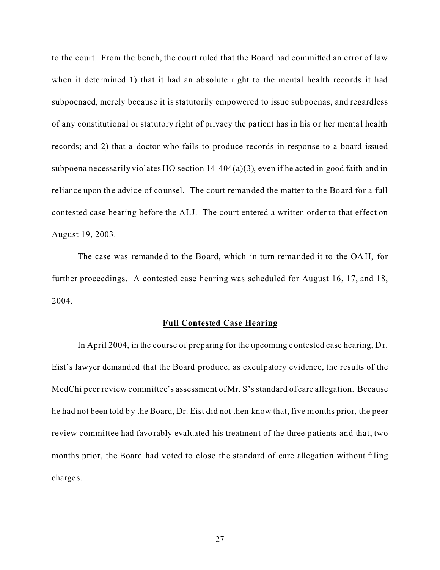to the court. From the bench, the court ruled that the Board had committed an error of law when it determined 1) that it had an absolute right to the mental health records it had subpoenaed, merely because it is statutorily empowered to issue subpoenas, and regardless of any constitutional or statutory right of privacy the patient has in his or her menta l health records; and 2) that a doctor who fails to produce records in response to a board-issued subpoena necessarily violates HO section 14-404(a)(3), even if he acted in good faith and in reliance upon the advice of counsel. The court remanded the matter to the Board for a full contested case hearing before the ALJ. The court entered a written order to that effect on August 19, 2003.

The case was remanded to the Board, which in turn remanded it to the OAH, for further proceedings. A contested case hearing was scheduled for August 16, 17, and 18, 2004.

#### **Full Contested Case Hearing**

In April 2004, in the course of preparing for the upcoming contested case hearing, Dr. Eist's lawyer demanded that the Board produce, as exculpatory evidence, the results of the MedChi peer review committee's assessment of Mr. S's standard of care allegation. Because he had not been told by the Board, Dr. Eist did not then know that, five months prior, the peer review committee had favorably evaluated his treatment of the three patients and that, two months prior, the Board had voted to close the standard of care allegation without filing charge s.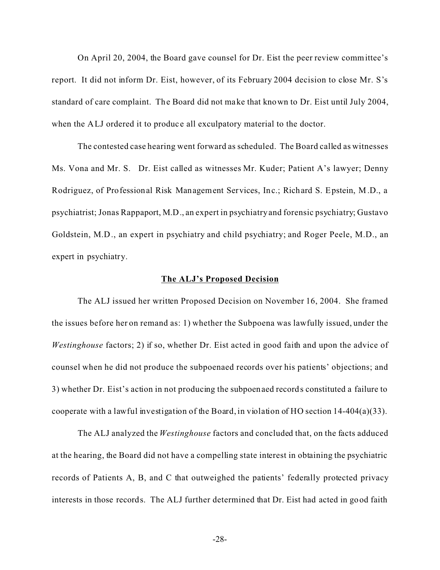On April 20, 2004, the Board gave counsel for Dr. Eist the peer review committee's report. It did not inform Dr. Eist, however, of its February 2004 decision to close Mr. S's standard of care complaint. The Board did not make that known to Dr. Eist until July 2004, when the ALJ ordered it to produce all exculpatory material to the doctor.

The contested case hearing went forward as scheduled. The Board called as witnesses Ms. Vona and Mr. S. Dr. Eist called as witnesses Mr. Kuder; Patient A's lawyer; Denny Rodriguez, of Professional Risk Management Services, Inc.; Richard S. Epstein, M.D., a psychiatrist; Jonas Rappaport, M.D., an expert in psychiatry and forensic psychiatry; Gustavo Goldstein, M.D., an expert in psychiatry and child psychiatry; and Roger Peele, M.D., an expert in psychiatry.

### **The ALJ's Proposed Decision**

The ALJ issued her written Proposed Decision on November 16, 2004. She framed the issues before her on remand as: 1) whether the Subpoena was lawfully issued, under the *Westinghouse* factors; 2) if so, whether Dr. Eist acted in good faith and upon the advice of counsel when he did not produce the subpoenaed records over his patients' objections; and 3) whether Dr. Eist's action in not producing the subpoenaed records constituted a failure to cooperate with a lawful investigation of the Board, in violation of HO section 14-404(a)(33).

The ALJ analyzed the *Westinghouse* factors and concluded that, on the facts adduced at the hearing, the Board did not have a compelling state interest in obtaining the psychiatric records of Patients A, B, and C that outweighed the patients' federally protected privacy interests in those records. The ALJ further determined that Dr. Eist had acted in good faith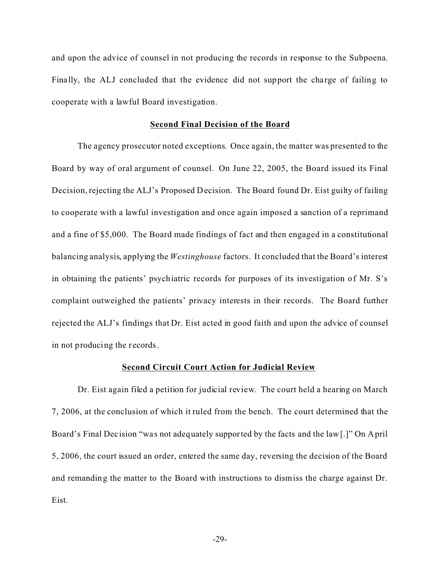and upon the advice of counsel in not producing the records in response to the Subpoena. Finally, the ALJ concluded that the evidence did not support the charge of failing to cooperate with a lawful Board investigation.

#### **Second Final Decision of the Board**

The agency prosecutor noted exceptions. Once again, the matter was presented to the Board by way of oral argument of counsel. On June 22, 2005, the Board issued its Final Decision, rejecting the ALJ's Proposed Decision. The Board found Dr. Eist guilty of failing to cooperate with a lawful investigation and once again imposed a sanction of a reprimand and a fine of \$5,000. The Board made findings of fact and then engaged in a constitutional balancing analysis, applying the *Westinghouse* factors. It concluded that the Board's interest in obtaining the patients' psychiatric records for purposes of its investigation of Mr. S's complaint outweighed the patients' privacy interests in their records. The Board further rejected the ALJ's findings that Dr. Eist acted in good faith and upon the advice of counsel in not producing the records.

#### **Second Circuit Court Action for Judicial Review**

Dr. Eist again filed a petition for judicial review. The court held a hearing on March 7, 2006, at the conclusion of which it ruled from the bench. The court determined that the Board's Final Decision "was not adequately supported by the facts and the law[.]" On April 5, 2006, the court issued an order, entered the same day, reversing the decision of the Board and remanding the matter to the Board with instructions to dismiss the charge against Dr. Eist.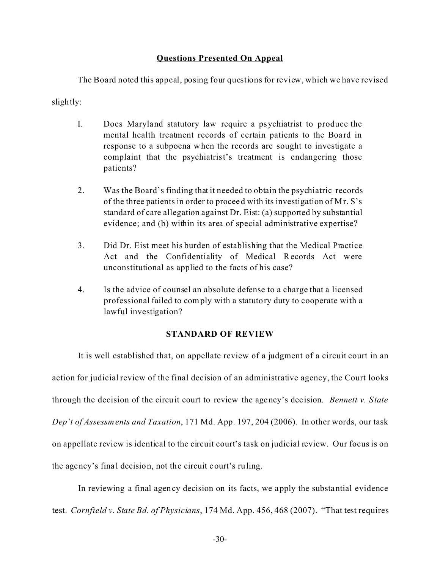## **Questions Presented On Appeal**

The Board noted this appeal, posing four questions for review, which we have revised

slightly:

- I. Does Maryland statutory law require a psychiatrist to produce the mental health treatment records of certain patients to the Board in response to a subpoena when the records are sought to investigate a complaint that the psychiatrist's treatment is endangering those patients?
- 2. Was the Board's finding that it needed to obtain the psychiatric records of the three patients in order to proceed with its investigation of Mr. S's standard of care allegation against Dr. Eist: (a) supported by substantial evidence; and (b) within its area of special administrative expertise?
- 3. Did Dr. Eist meet his burden of establishing that the Medical Practice Act and the Confidentiality of Medical Records Act were unconstitutional as applied to the facts of his case?
- 4. Is the advice of counsel an absolute defense to a charge that a licensed professional failed to comply with a statutory duty to cooperate with a lawful investigation?

## **STANDARD OF REVIEW**

It is well established that, on appellate review of a judgment of a circuit court in an action for judicial review of the final decision of an administrative agency, the Court looks through the decision of the circuit court to review the agency's dec ision. *Bennett v. State Dep't of Assessments and Taxation*, 171 Md. App. 197, 204 (2006). In other words, our task on appellate review is identical to the circuit court's task on judicial review. Our focus is on the agency's fina l decision, not the circuit court's ruling.

In reviewing a final agency decision on its facts, we apply the substantial evidence test. *Cornfield v. State Bd. of Physicians*, 174 Md. App. 456, 468 (2007). "That test requires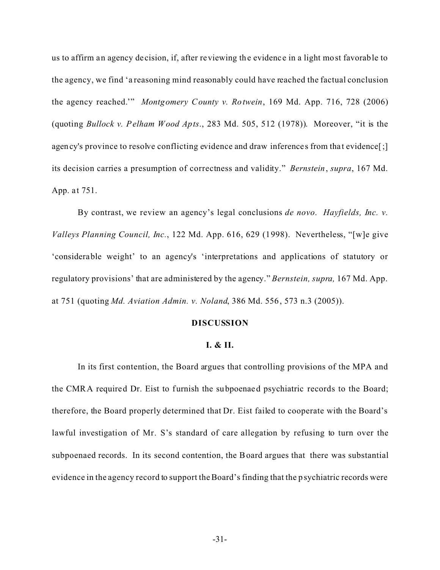us to affirm an agency de cision, if, after reviewing the evidence in a light most favorable to the agency, we find 'a reasoning mind reasonably could have reached the factual conclusion the agency reached.'" *Montgomery County v. Rotwein*, 169 Md. App. 716, 728 (2006) (quoting *Bullock v. Pelham Wood Apts*., 283 Md. 505, 512 (1978)). Moreover, "it is the agency's province to resolve conflicting evidence and draw inferences from that evidence[;] its decision carries a presumption of correctness and validity." *Bernstein*, *supra*, 167 Md. App. at 751.

By contrast, we review an agency's legal conclusions *de novo*. *Hayfields, Inc. v. Valleys Planning Council, Inc.*, 122 Md. App. 616, 629 (1998). Nevertheless, "[w]e give 'considerable weight' to an agency's 'interpretations and applications of statutory or regulatory provisions' that are administered by the agency." *Bernstein, supra,* 167 Md. App. at 751 (quoting *Md. Aviation Admin. v. Noland*, 386 Md. 556, 573 n.3 (2005)).

#### **DISCUSSION**

### **I. & II.**

In its first contention, the Board argues that controlling provisions of the MPA and the CMRA required Dr. Eist to furnish the subpoenaed psychiatric records to the Board; therefore, the Board properly determined that Dr. Eist failed to cooperate with the Board's lawful investigation of Mr. S's standard of care allegation by refusing to turn over the subpoenaed records. In its second contention, the Board argues that there was substantial evidence in the agency record to support the Board's finding that the psychiatric records were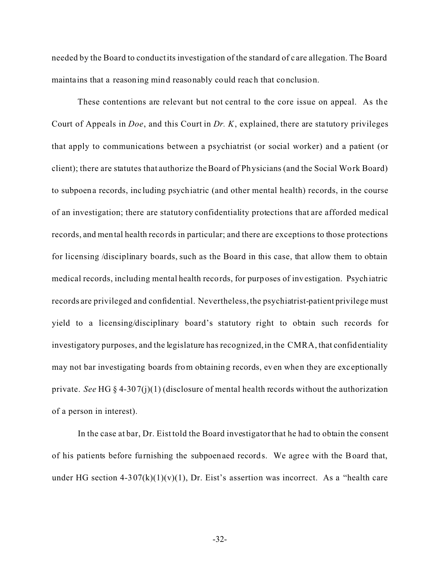needed by the Board to conductits investigation of the standard of care allegation. The Board maintains that a reasoning mind reasonably could reach that conclusion.

These contentions are relevant but not central to the core issue on appeal. As the Court of Appeals in *Doe*, and this Court in *Dr. K*, explained, there are sta tutory privileges that apply to communications between a psychiatrist (or social worker) and a patient (or client); there are statutes that authorize the Board of Physicians (and the Social Work Board) to subpoena records, inc luding psychiatric (and other mental health) records, in the course of an investigation; there are statutory confidentiality protections that are afforded medical records, and mental health records in particular; and there are exceptions to those protections for licensing /disciplinary boards, such as the Board in this case, that allow them to obtain medical records, including mental health records, for purposes of investigation. Psychiatric records are privileged and confidential. Nevertheless, the psychiatrist-patient privilege must yield to a licensing/disciplinary board's statutory right to obtain such records for investigatory purposes, and the legislature has recognized, in the CMRA, that confidentiality may not bar investigating boards from obtaining records, even when they are exceptionally private. *See* HG § 4-307(j)(1) (disclosure of mental health records without the authorization of a person in interest).

In the case at bar, Dr. Eist told the Board investigator that he had to obtain the consent of his patients before furnishing the subpoenaed records. We agree with the Board that, under HG section  $4-307(k)(1)(v)(1)$ , Dr. Eist's assertion was incorrect. As a "health care

-32-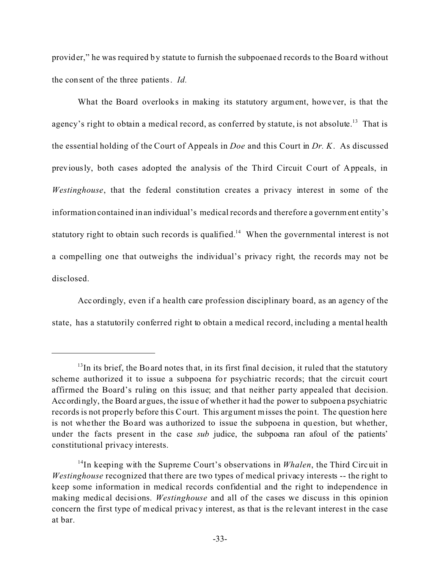provider," he was required by statute to furnish the subpoenaed records to the Boa rd without the consent of the three patients. *Id.*

What the Board overlooks in making its statutory argument, however, is that the agency's right to obtain a medical record, as conferred by statute, is not absolute.<sup>13</sup> That is the essential holding of the Court of Appeals in *Doe* and this Court in *Dr. K*. As discussed previously, both cases adopted the analysis of the Third Circuit Court of Appeals, in *Westinghouse*, that the federal constitution creates a privacy interest in some of the information contained in an individual's medical records and therefore a government entity's statutory right to obtain such records is qualified.<sup>14</sup> When the governmental interest is not a compelling one that outweighs the individual's privacy right, the records may not be disclosed.

Accordingly, even if a health care profession disciplinary board, as an agency of the state, has a statutorily conferred right to obtain a medical record, including a mental health

 $13$ In its brief, the Board notes that, in its first final decision, it ruled that the statutory scheme authorized it to issue a subpoena for psychiatric records; that the circuit court affirmed the Board's ruling on this issue; and that neither party appealed that decision. Accordingly, the Board argues, the issue of whether it had the power to subpoena psychiatric records is not properly before this Court. This argument misses the point. The question here is not whe ther the Board was authorized to issue the subpoena in question, but whether, under the facts present in the case *sub* judice, the subpoena ran afoul of the patients' constitutional privacy interests.

<sup>&</sup>lt;sup>14</sup>In keeping with the Supreme Court's observations in *Whalen*, the Third Circuit in *Westinghouse* recognized that there are two types of medical privacy interests -- the right to keep some information in medical records confidential and the right to independence in making medical decisions. *Westinghouse* and all of the cases we discuss in this opinion concern the first type of medical privacy interest, as that is the re levant interest in the case at bar.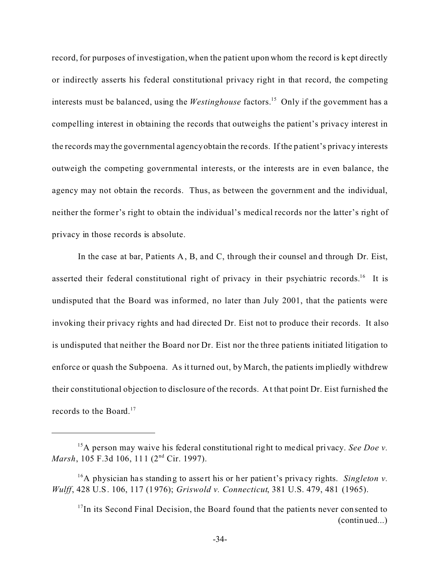record, for purposes of investigation, when the patient upon whom the record is kept directly or indirectly asserts his federal constitutional privacy right in that record, the competing interests must be balanced, using the *Westinghouse* factors.<sup>15</sup> Only if the government has a compelling interest in obtaining the records that outweighs the patient's priva cy interest in the records may the governmental agency obtain the re cords. If the patient's privacy interests outweigh the competing governmental interests, or the interests are in even balance, the agency may not obtain the records. Thus, as between the government and the individual, neither the former's right to obtain the individual's medical records nor the latter's right of privacy in those records is absolute.

In the case at bar, Patients A, B, and C, through their counsel and through Dr. Eist, asserted their federal constitutional right of privacy in their psychiatric records.<sup>16</sup> It is undisputed that the Board was informed, no later than July 2001, that the patients were invoking their privacy rights and had directed Dr. Eist not to produce their records. It also is undisputed that neither the Board nor Dr. Eist nor the three patients initiated litigation to enforce or quash the Subpoena. As it turned out, by March, the patients impliedly withdrew their constitutional objection to disclosure of the records. At that point Dr. Eist furnished the records to the Board.<sup>17</sup>

<sup>&</sup>lt;sup>15</sup>A person may waive his federal constitutional right to medical privacy. *See Doe v. Marsh*, 105 F.3d 106, 111 (2<sup>nd</sup> Cir. 1997).

<sup>&</sup>lt;sup>16</sup>A physician has standing to assert his or her patient's privacy rights. *Singleton v. Wulff*, 428 U.S. 106, 117 (1976); *Griswold v. Connecticut*, 381 U.S. 479, 481 (1965).

 $17$ In its Second Final Decision, the Board found that the patients never consented to (continued...)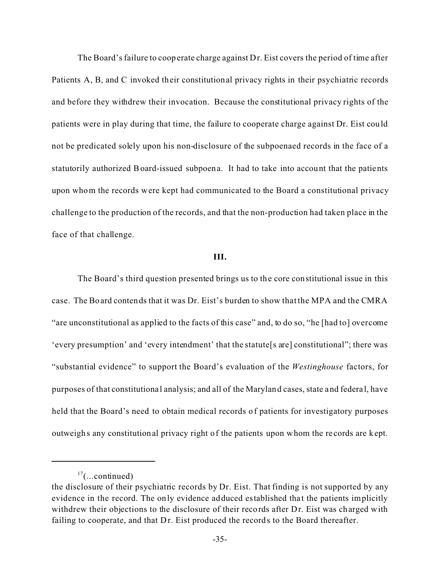The Board's failure to cooperate charge against Dr. Eist covers the period of time after Patients A, B, and C invoked their constitutional privacy rights in their psychiatric records and before they withdrew their invocation. Because the constitutional privacy rights of the patients were in play during that time, the failure to cooperate charge against Dr. Eist could not be predicated solely upon his non-disclosure of the subpoenaed records in the face of a statutorily authorized Board-issued subpoena. It had to take into account that the patients upon whom the records were kept had communicated to the Board a constitutional privacy challenge to the production of the records, and that the non-production had taken place in the face of that challenge.

#### **III.**

The Board's third question presented brings us to the core constitutional issue in this case. The Board contends that it was Dr. Eist's burden to show that the MPA and the CMRA "are unconstitutional as applied to the facts of this case" and, to do so, "he [had to] overcome 'every presumption' and 'every intendment' that the statute[s are] constitutional"; there was "substantial evidence" to support the Board's evaluation of the *Westinghouse* factors, for purposes of that constitutiona l analysis; and all of the Maryland cases, state and federa l, have held that the Board's need to obtain medical records of patients for investigatory purposes outweighs any constitutional privacy right of the patients upon whom the re cords are kept.

 $17$ (...continued)

the disclosure of their psychiatric records by Dr. Eist. That finding is not supported by any evidence in the record. The only evidence adduced established that the patients implicitly withdrew their objections to the disclosure of their records after Dr. Eist was charged with failing to cooperate, and that Dr. Eist produced the records to the Board thereafter.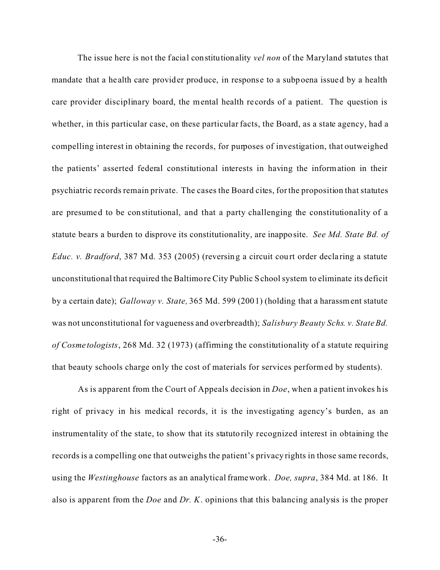The issue here is not the facial constitutionality *vel non* of the Maryland statutes that mandate that a he alth care provider produce, in response to a subpoena issued by a health care provider disciplinary board, the mental health re cords of a patient. The question is whether, in this particular case, on these particular facts, the Board, as a state agency, had a compelling interest in obtaining the records, for purposes of investigation, that outweighed the patients' asserted federal constitutional interests in having the information in their psychiatric records remain private. The cases the Board cites, for the proposition that statutes are presumed to be constitutional, and that a party challenging the constitutionality of a statute bears a burden to disprove its constitutionality, are inapposite. *See Md. State Bd. of Educ. v. Bradford*, 387 Md. 353 (2005) (reversing a circuit court order declaring a statute unconstitutional that required the Baltimore City Public School system to eliminate its deficit by a certain date); *Galloway v. State,* 365 Md. 599 (2001) (holding that a harassment statute was not unconstitutional for vagueness and overbreadth); *Salisbury Beauty Schs. v. State Bd. of Cosme tologists*, 268 Md. 32 (1973) (affirming the constitutionality of a statute requiring that beauty schools charge only the cost of materials for services performed by students).

As is apparent from the Court of Appeals decision in *Doe*, when a patient invokes his right of privacy in his medical records, it is the investigating agency's burden, as an instrumentality of the state, to show that its statuto rily recognized interest in obtaining the records is a compelling one that outweighs the patient's privacy rights in those same records, using the *Westinghouse* factors as an analytical framework. *Doe, supra*, 384 Md. at 186. It also is apparent from the *Doe* and *Dr. K*. opinions that this balancing analysis is the proper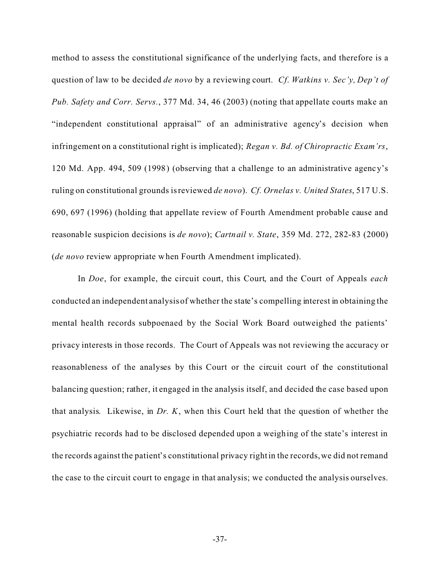method to assess the constitutional significance of the underlying facts, and therefore is a question of law to be decided *de novo* by a reviewing court. *Cf*. *Watkins v. Sec'y, Dep't of Pub. Safety and Corr. Servs.*, 377 Md. 34, 46 (2003) (noting that appellate courts make an "independent constitutional appraisal" of an administrative agency's decision when infringement on a constitutional right is implicated); *Regan v. Bd. of Chiropractic Exam'rs*, 120 Md. App. 494, 509 (1998) (observing that a challenge to an administrative agency's ruling on constitutional grounds is reviewed *de novo*). *Cf. Ornelas v. United States*, 517 U.S. 690, 697 (1996) (holding that appellate review of Fourth Amendment probable cause and reasonable suspicion decisions is *de novo*); *Cartnail v. State*, 359 Md. 272, 282-83 (2000) (*de novo* review appropriate when Fourth Amendment implicated).

In *Doe*, for example, the circuit court, this Court, and the Court of Appeals *each* conducted an independent analysis of whether the state's compelling interest in obtaining the mental health records subpoenaed by the Social Work Board outweighed the patients' privacy interests in those records. The Court of Appeals was not reviewing the accuracy or reasonableness of the analyses by this Court or the circuit court of the constitutional balancing question; rather, it engaged in the analysis itself, and decided the case based upon that analysis. Likewise, in *Dr. K*, when this Court held that the question of whether the psychiatric records had to be disclosed depended upon a weighing of the state's interest in the records against the patient's constitutional privacy right in the records, we did not remand the case to the circuit court to engage in that analysis; we conducted the analysis ourselves.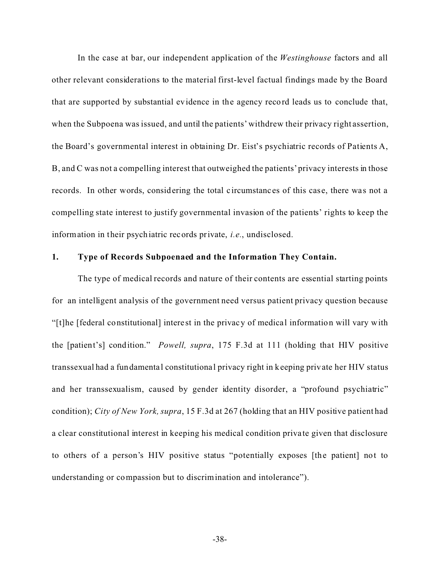In the case at bar, our independent application of the *Westinghouse* factors and all other relevant considerations to the material first-level factual findings made by the Board that are supported by substantial evidence in the agency record leads us to conclude that, when the Subpoena was issued, and until the patients' withdrew their privacy right assertion, the Board's governmental interest in obtaining Dr. Eist's psychiatric records of Patients A, B, and C was not a compelling interest that outweighed the patients' privacy interests in those records. In other words, considering the total circumstances of this case, there was not a compelling state interest to justify governmental invasion of the patients' rights to keep the information in their psychiatric records private, *i.e.*, undisclosed.

### **1. Type of Records Subpoenaed and the Information They Contain.**

The type of medical records and nature of their contents are essential starting points for an intelligent analysis of the government need versus patient privacy question because "[t]he [federal constitutional] intere st in the privacy of medical information will vary with the [patient's] condition." *Powell, supra*, 175 F.3d at 111 (holding that HIV positive transsexual had a fundamenta l constitutional privacy right in keeping private her HIV status and her transsexualism, caused by gender identity disorder, a "profound psychiatric" condition); *City of New York, supra*, 15 F.3d at 267 (holding that an HIV positive patient had a clear constitutional interest in keeping his medical condition priva te given that disclosure to others of a person's HIV positive status "potentially exposes [the patient] not to understanding or compassion but to discrimination and intolerance").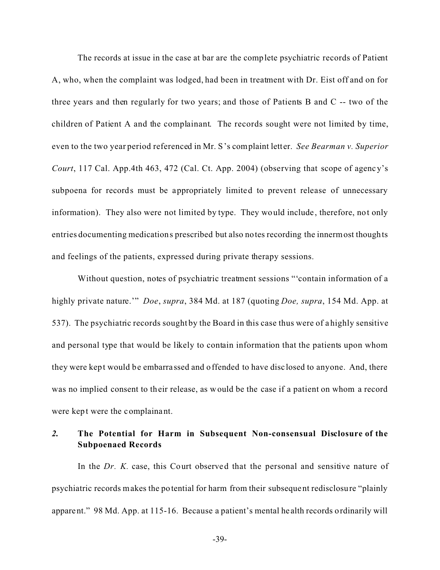The records at issue in the case at bar are the complete psychiatric records of Patient A, who, when the complaint was lodged, had been in treatment with Dr. Eist off and on for three years and then regularly for two years; and those of Patients B and C -- two of the children of Patient A and the complainant. The records sought were not limited by time, even to the two year period referenced in Mr. S's complaint letter. *See Bearman v. Superior Court*, 117 Cal. App.4th 463, 472 (Cal. Ct. App. 2004) (observing that scope of agency's subpoena for records must be appropriately limited to prevent release of unnecessary information). They also were not limited by type. They would include , therefore, not only entries documenting medications prescribed but also notes recording the innermost thoughts and feelings of the patients, expressed during private therapy sessions.

Without question, notes of psychiatric treatment sessions "'contain information of a highly private nature.'" *Doe*, *supra*, 384 Md. at 187 (quoting *Doe, supra*, 154 Md. App. at 537). The psychiatric records sought by the Board in this case thus were of a highly sensitive and personal type that would be likely to contain information that the patients upon whom they were kept would be embarra ssed and offended to have disc losed to anyone. And, there was no implied consent to their release, as would be the case if a patient on whom a record were kept were the complainant.

## *2.* **The Potential for Harm in Subsequent Non-consensual Disclosure of the Subpoenaed Records**

In the *Dr. K.* case, this Court observed that the personal and sensitive nature of psychiatric records makes the potential for harm from their subsequent redisclosure "plainly apparent." 98 Md. App. at 115-16. Because a patient's mental health records ordinarily will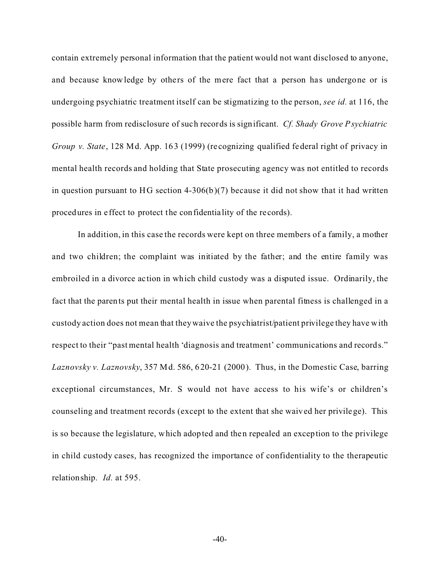contain extremely personal information that the patient would not want disclosed to anyone, and because knowledge by others of the mere fact that a person has undergone or is undergoing psychiatric treatment itself can be stigmatizing to the person, *see id.* at 116, the possible harm from redisclosure of such records is significant. *Cf. Shady Grove Psychiatric Group v. State*, 128 Md. App. 163 (1999) (re cognizing qualified federal right of privacy in mental health records and holding that State prosecuting agency was not entitled to records in question pursuant to HG section 4-306(b)(7) because it did not show that it had written procedures in e ffect to protect the confidentia lity of the re cords).

In addition, in this case the records were kept on three members of a family, a mother and two children; the complaint was initiated by the father; and the entire family was embroiled in a divorce ac tion in which child custody was a disputed issue. Ordinarily, the fact that the parents put their mental health in issue when parental fitness is challenged in a custody action does not mean that they waive the psychiatrist/patient privilege they have with respect to their "past mental health 'diagnosis and treatment' communications and records." *Laznovsky v. Laznovsky*, 357 Md. 586, 620-21 (2000). Thus, in the Domestic Case, barring exceptional circumstances, Mr. S would not have access to his wife's or children's counseling and treatment records (except to the extent that she waived her privilege). This is so because the legislature, which adopted and then repealed an exception to the privilege in child custody cases, has recognized the importance of confidentiality to the therapeutic relationship. *Id.* at 595.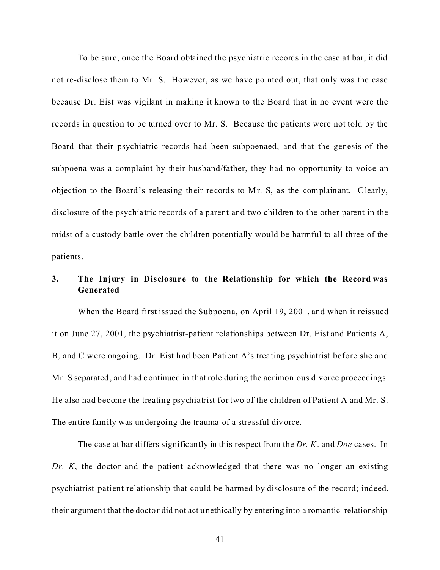To be sure, once the Board obtained the psychiatric records in the case at bar, it did not re-disclose them to Mr. S. However, as we have pointed out, that only was the case because Dr. Eist was vigilant in making it known to the Board that in no event were the records in question to be turned over to Mr. S. Because the patients were not told by the Board that their psychiatric records had been subpoenaed, and that the genesis of the subpoena was a complaint by their husband/father, they had no opportunity to voice an objection to the Board's releasing their records to Mr. S, as the complainant. Clearly, disclosure of the psychia tric records of a parent and two children to the other parent in the midst of a custody battle over the children potentially would be harmful to all three of the patients.

# **3. The Injury in Disclosure to the Relationship for which the Record was Generated**

When the Board first issued the Subpoena, on April 19, 2001, and when it reissued it on June 27, 2001, the psychiatrist-patient relationships between Dr. Eist and Patients A, B, and C were ongoing. Dr. Eist had been Patient A's trea ting psychiatrist before she and Mr. S separated, and had continued in that role during the acrimonious divorce proceedings. He also had become the treating psychiatrist for two of the children of Patient A and Mr. S. The entire family was undergoing the trauma of a stressful divorce.

The case at bar differs significantly in this respect from the *Dr. K*. and *Doe* cases. In *Dr. K*, the doctor and the patient acknowledged that there was no longer an existing psychiatrist-patient relationship that could be harmed by disclosure of the record; indeed, their argument that the doctor did not act unethically by entering into a romantic relationship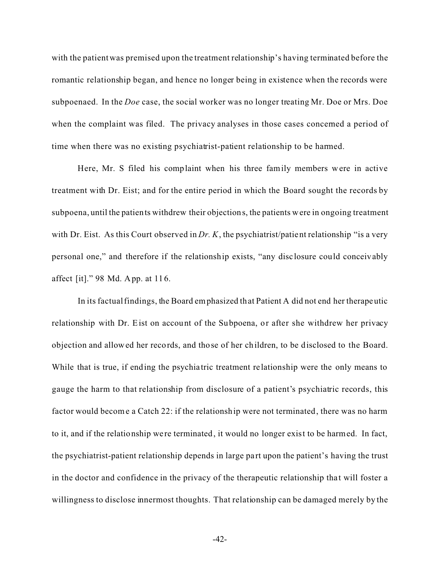with the patient was premised upon the treatment relationship's having terminated before the romantic relationship began, and hence no longer being in existence when the records were subpoenaed. In the *Doe* case, the social worker was no longer treating Mr. Doe or Mrs. Doe when the complaint was filed. The privacy analyses in those cases concerned a period of time when there was no existing psychiatrist-patient relationship to be harmed.

Here, Mr. S filed his complaint when his three family members were in active treatment with Dr. Eist; and for the entire period in which the Board sought the records by subpoena, until the patients withdrew their objections, the patients were in ongoing treatment with Dr. Eist. As this Court observed in *Dr. K*, the psychiatrist/patient relationship "is a very personal one," and therefore if the relationship exists, "any disc losure could conceivably affect [it]." 98 Md. App. at 116.

In its factual findings, the Board emphasized that Patient A did not end her therapeutic relationship with Dr. Eist on account of the Subpoena, or after she withdrew her privacy objection and allowed her records, and those of her children, to be disclosed to the Board. While that is true, if ending the psychiatric treatment relationship were the only means to gauge the harm to that relationship from disclosure of a patient's psychiatric records, this factor would become a Catch 22: if the relationship were not terminated, there was no harm to it, and if the relationship we re terminated, it would no longer exist to be harmed. In fact, the psychiatrist-patient relationship depends in large pa rt upon the patient's having the trust in the doctor and confidence in the privacy of the therapeutic relationship that will foster a willingness to disclose innermost thoughts. That relationship can be damaged merely by the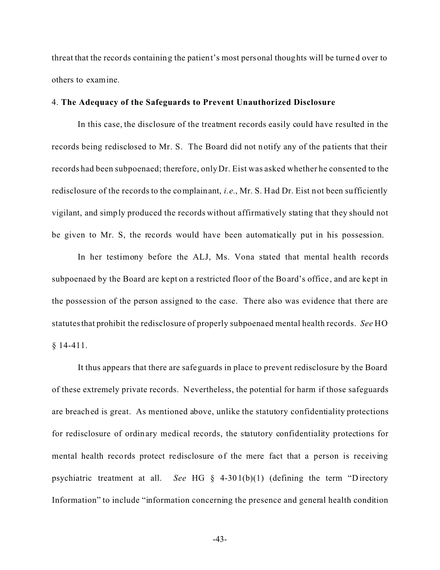threat that the records containing the patient's most personal thoughts will be turned over to others to examine.

#### 4. **The Adequacy of the Safeguards to Prevent Unauthorized Disclosure**

In this case, the disclosure of the treatment records easily could have resulted in the records being redisclosed to Mr. S. The Board did not notify any of the pa tients that their records had been subpoenaed; therefore, only Dr. Eist was asked whether he consented to the redisclosure of the records to the complainant, *i.e.*, Mr. S. Had Dr. Eist not been sufficiently vigilant, and simply produced the records without affirmatively stating that they should not be given to Mr. S, the records would have been automatically put in his possession.

In her testimony before the ALJ, Ms. Vona stated that mental health records subpoenaed by the Board are kept on a restricted floor of the Board's office , and are kept in the possession of the person assigned to the case. There also was evidence that there are statutes that prohibit the redisclosure of properly subpoenaed mental health records. *See* HO § 14-411.

It thus appears that there are safeguards in place to prevent redisclosure by the Board of these extremely private records. Nevertheless, the potential for harm if those safeguards are breached is great. As mentioned above, unlike the statutory confidentiality protections for redisclosure of ordinary medical records, the statutory confidentiality protections for mental health records protect redisclosure of the mere fact that a person is receiving psychiatric treatment at all. *See* HG § 4-301(b)(1) (defining the term "Directory Information" to include "information concerning the presence and general health condition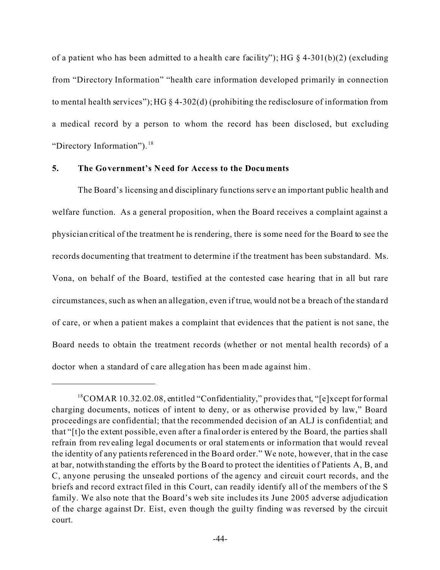of a patient who has been admitted to a health care facility"); HG  $\S$  4-301(b)(2) (excluding from "Directory Information" "health care information developed primarily in connection to mental health services"); HG § 4-302(d) (prohibiting the redisclosure of information from a medical record by a person to whom the record has been disclosed, but excluding "Directory Information").<sup>18</sup>

### **5. The Government's Need for Acce ss to the Documents**

The Board's licensing and disciplinary functions serve an important public health and welfare function. As a general proposition, when the Board receives a complaint against a physician critical of the treatment he is rendering, there is some need for the Board to see the records documenting that treatment to determine if the treatment has been substandard. Ms. Vona, on behalf of the Board, testified at the contested case hearing that in all but rare circumstances, such as when an allegation, even if true, would not be a breach of the standa rd of care, or when a patient makes a complaint that evidences that the patient is not sane, the Board needs to obtain the treatment records (whether or not mental health records) of a doctor when a standard of care allegation has been made against him.

<sup>18</sup>COMAR 10.32.02.08, entitled "Confidentiality," provides that, "[e]xcept for formal charging documents, notices of intent to deny, or as otherwise provided by law," Board proceedings are confidential; that the recommended decision of an ALJ is confidential; and that "[t]o the extent possible, even after a final order is entered by the Board, the parties shall refrain from revealing legal documents or oral statements or information that would reveal the identity of any patients referenced in the Board order." We note, however, that in the case at bar, notwithstanding the efforts by the Board to protect the identities of Patients A, B, and C, anyone perusing the unsealed portions of the agency and circuit court records, and the briefs and record extract filed in this Court, can readily identify all of the members of the S family. We also note that the Board's web site includes its June 2005 adverse adjudication of the charge against Dr. Eist, even though the guilty finding was reversed by the circuit court.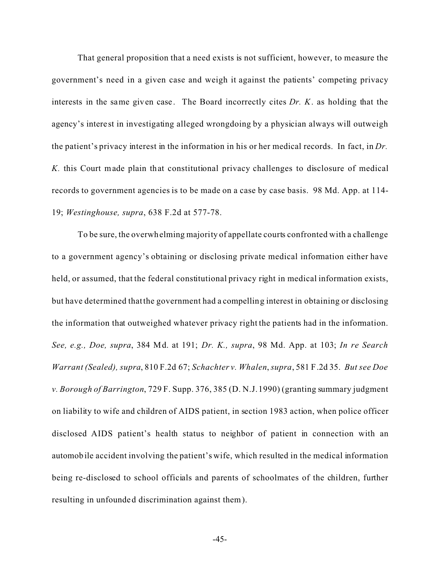That general proposition that a need exists is not sufficient, however, to measure the government's need in a given case and weigh it against the patients' competing privacy interests in the same given case. The Board incorrectly cites *Dr. K.* as holding that the agency's interest in investigating alleged wrongdoing by a physician always will outweigh the patient's privacy interest in the information in his or her medical records. In fact, in *Dr. K.* this Court made plain that constitutional privacy challenges to disclosure of medical records to government agencies is to be made on a case by case basis. 98 Md. App. at 114- 19; *Westinghouse, supra*, 638 F.2d at 577-78.

To be sure, the overwhelming majority of appellate courts confronted with a challenge to a government agency's obtaining or disclosing private medical information either have held, or assumed, that the federal constitutional privacy right in medical information exists, but have determined that the government had a compelling interest in obtaining or disclosing the information that outweighed whatever privacy right the patients had in the information. *See, e.g., Doe, supra*, 384 Md. at 191; *Dr. K., supra*, 98 Md. App. at 103; *In re Search Warrant (Sealed), supra*, 810 F.2d 67; *Schachter v. Whalen*, *supra*, 581 F.2d 35. *But see Doe v. Borough of Barrington*, 729 F. Supp. 376, 385 (D. N.J. 1990) (granting summary judgment on liability to wife and children of AIDS patient, in section 1983 action, when police officer disclosed AIDS patient's health status to neighbor of patient in connection with an automobile accident involving the patient's wife, which resulted in the medical information being re-disclosed to school officials and parents of schoolmates of the children, further resulting in unfounded discrimination against them).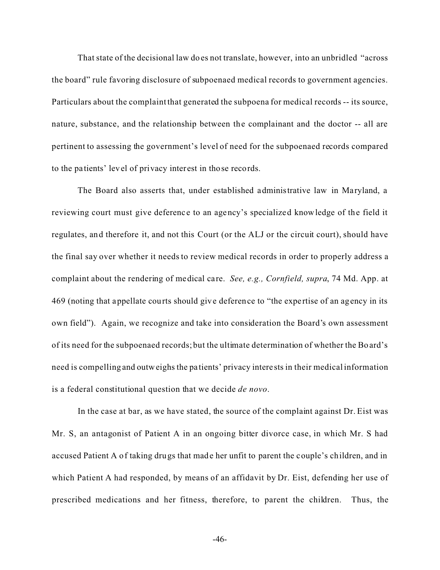That state of the decisional law does not translate, however, into an unbridled "across the board" rule favoring disclosure of subpoenaed medical records to government agencies. Particulars about the complaint that generated the subpoena for medical records -- its source, nature, substance, and the relationship between the complainant and the doctor -- all are pertinent to assessing the government's level of need for the subpoenaed records compared to the pa tients' level of privacy interest in those records.

The Board also asserts that, under established administrative law in Maryland, a reviewing court must give deference to an agency's specialized knowledge of the field it regulates, and therefore it, and not this Court (or the ALJ or the circuit court), should have the final say over whether it needs to review medical records in order to properly address a complaint about the rendering of medical care. *See, e.g., Cornfield, supra*, 74 Md. App. at 469 (noting that appellate courts should give deference to "the expe rtise of an agency in its own field"). Again, we recognize and take into consideration the Board's own assessment of its need for the subpoenaed records; but the ultimate determination of whether the Board's need is compelling and outweighs the pa tients' privacy intere sts in their medical information is a federal constitutional question that we decide *de novo*.

In the case at bar, as we have stated, the source of the complaint against Dr. Eist was Mr. S, an antagonist of Patient A in an ongoing bitter divorce case, in which Mr. S had accused Patient A of taking drugs that made her unfit to parent the couple's children, and in which Patient A had responded, by means of an affidavit by Dr. Eist, defending her use of prescribed medications and her fitness, therefore, to parent the children. Thus, the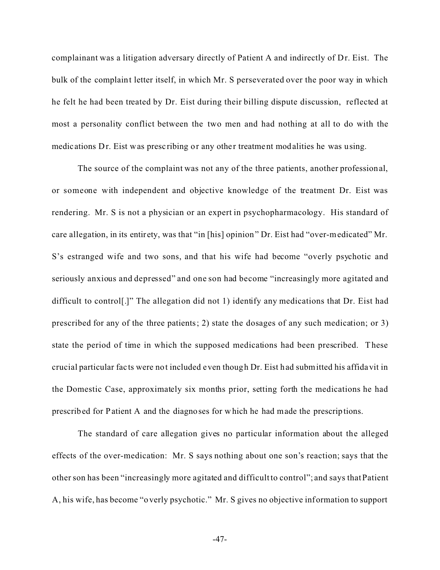complainant was a litigation adversary directly of Patient A and indirectly of Dr. Eist. The bulk of the complaint letter itself, in which Mr. S perseverated over the poor way in which he felt he had been treated by Dr. Eist during their billing dispute discussion, reflected at most a personality conflict between the two men and had nothing at all to do with the medications Dr. Eist was prescribing or any other treatment modalities he was using.

The source of the complaint was not any of the three patients, another professional, or someone with independent and objective knowledge of the treatment Dr. Eist was rendering. Mr. S is not a physician or an expert in psychopharmacology. His standard of care allegation, in its entirety, was that "in [his] opinion" Dr. Eist had "over-medicated" Mr. S's estranged wife and two sons, and that his wife had become "overly psychotic and seriously anxious and depressed" and one son had become "increasingly more agitated and difficult to control[.]" The allegation did not 1) identify any medications that Dr. Eist had prescribed for any of the three patients; 2) state the dosages of any such medication; or 3) state the period of time in which the supposed medications had been prescribed. These crucial particular fac ts were not included even though Dr. Eist had submitted his affidavit in the Domestic Case, approximately six months prior, setting forth the medications he had prescribed for Patient A and the diagnoses for which he had made the prescriptions.

The standard of care allegation gives no particular information about the alleged effects of the over-medication: Mr. S says nothing about one son's reaction; says that the other son has been "increasingly more agitated and difficult to control"; and says that Patient A, his wife, has become "overly psychotic." Mr. S gives no objective information to support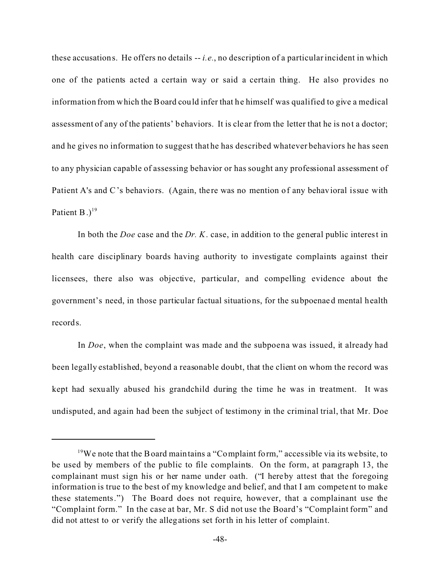these accusations. He offers no details -- *i.e.*, no description of a particular incident in which one of the patients acted a certain way or said a certain thing. He also provides no information from which the Board could infer that he himself was qualified to give a medical assessment of any of the patients' behaviors. It is cle ar from the letter that he is not a doctor; and he gives no information to suggest that he has described whatever behaviors he has seen to any physician capable of assessing behavior or has sought any professional assessment of Patient A's and C's behaviors. (Again, there was no mention of any behavioral issue with Patient B. $)^{19}$ 

In both the *Doe* case and the *Dr. K*. case, in addition to the general public interest in health care disciplinary boards having authority to investigate complaints against their licensees, there also was objective, particular, and compelling evidence about the government's need, in those particular factual situations, for the subpoenaed mental health records.

In *Doe*, when the complaint was made and the subpoena was issued, it already had been legally established, beyond a reasonable doubt, that the client on whom the record was kept had sexually abused his grandchild during the time he was in treatment. It was undisputed, and again had been the subject of testimony in the criminal trial, that Mr. Doe

<sup>&</sup>lt;sup>19</sup>We note that the Board maintains a "Complaint form," accessible via its website, to be used by members of the public to file complaints. On the form, at paragraph 13, the complainant must sign his or her name under oath. ("I hereby attest that the foregoing information is true to the best of my knowledge and belief, and that I am competent to make these statements.") The Board does not require, however, that a complainant use the "Complaint form." In the case at bar, Mr. S did not use the Board's "Complaint form" and did not attest to or verify the allegations set forth in his letter of complaint.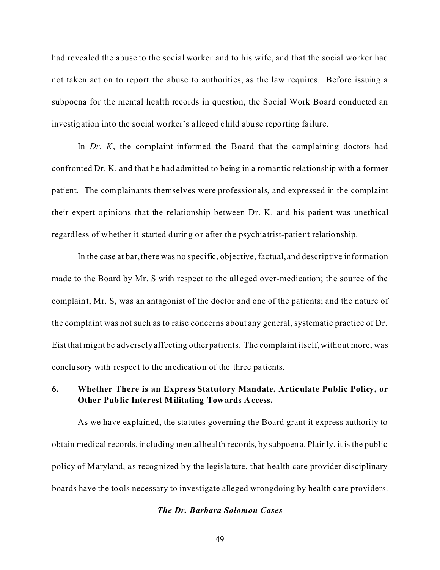had revealed the abuse to the social worker and to his wife, and that the social worker had not taken action to report the abuse to authorities, as the law requires. Before issuing a subpoena for the mental health records in question, the Social Work Board conducted an investigation into the social worker's alleged child abuse reporting failure.

In *Dr. K*, the complaint informed the Board that the complaining doctors had confronted Dr. K. and that he had admitted to being in a romantic relationship with a former patient. The complainants themselves were professionals, and expressed in the complaint their expert opinions that the relationship between Dr. K. and his patient was unethical regardless of whether it started during or after the psychiatrist-patient relationship.

In the case at bar, there was no specific, objective, factual, and descriptive information made to the Board by Mr. S with respect to the alleged over-medication; the source of the complaint, Mr. S, was an antagonist of the doctor and one of the patients; and the nature of the complaint was not such as to raise concerns about any general, systematic practice of Dr. Eist that might be adversely affecting other patients. The complaint itself, without more, was conclusory with respect to the medication of the three pa tients.

## **6. Whether There is an Express Statutory Mandate, Articulate Public Policy, or Other Public Inter est Militating Towards Access.**

As we have explained, the statutes governing the Board grant it express authority to obtain medical records, including mental health records, by subpoena. Plainly, it is the public policy of Maryland, as recognized by the legisla ture, that health care provider disciplinary boards have the tools necessary to investigate alleged wrongdoing by health care providers.

### *The Dr. Barbara Solomon Cases*

```
-49-
```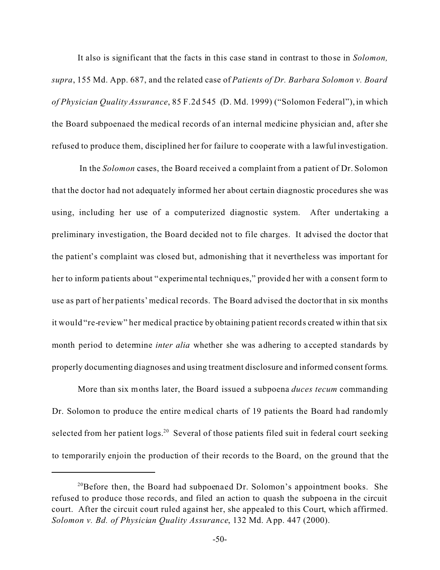It also is significant that the facts in this case stand in contrast to those in *Solomon, supra*, 155 Md. App. 687, and the related case of *Patients of Dr. Barbara Solomon v. Board of Physician Quality Assurance*, 85 F.2d 545 (D. Md. 1999) ("Solomon Federal"), in which the Board subpoenaed the medical records of an internal medicine physician and, after she refused to produce them, disciplined her for failure to cooperate with a lawful investigation.

 In the *Solomon* cases, the Board received a complaint from a patient of Dr. Solomon that the doctor had not adequately informed her about certain diagnostic procedures she was using, including her use of a computerized diagnostic system. After undertaking a preliminary investigation, the Board decided not to file charges. It advised the doctor that the patient's complaint was closed but, admonishing that it nevertheless was important for her to inform pa tients about " experimental techniques," provided her with a consent form to use as part of her patients' medical records. The Board advised the doctor that in six months it would "re-review" her medical practice by obtaining patient records created within that six month period to determine *inter alia* whether she was adhering to accepted standards by properly documenting diagnoses and using treatment disclosure and informed consent forms.

More than six months later, the Board issued a subpoena *duces tecum* commanding Dr. Solomon to produce the entire medical charts of 19 patients the Board had randomly selected from her patient logs.<sup>20</sup> Several of those patients filed suit in federal court seeking to temporarily enjoin the production of their records to the Board, on the ground that the

<sup>&</sup>lt;sup>20</sup>Before then, the Board had subpoenaed Dr. Solomon's appointment books. She refused to produce those records, and filed an action to quash the subpoena in the circuit court. After the circuit court ruled against her, she appealed to this Court, which affirmed. *Solomon v. Bd. of Physician Quality Assurance*, 132 Md. App. 447 (2000).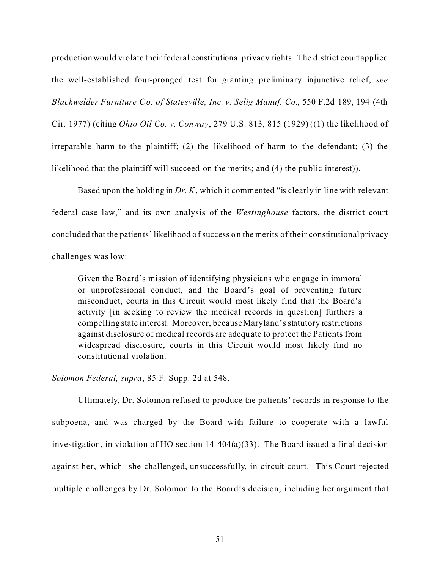production would violate their federal constitutional privacy rights. The district court applied the well-established four-pronged test for granting preliminary injunctive relief, *see Blackwelder Furniture Co. of Statesville, Inc. v. Selig Manuf. Co.*, 550 F.2d 189, 194 (4th Cir. 1977) (citing *Ohio Oil Co. v. Conway*, 279 U.S. 813, 815 (1929) ((1) the likelihood of irreparable harm to the plaintiff; (2) the likelihood of harm to the defendant; (3) the likelihood that the plaintiff will succeed on the merits; and (4) the public interest)).

Based upon the holding in *Dr. K*, which it commented "is clearly in line with relevant federal case law," and its own analysis of the *Westinghouse* factors, the district court concluded that the patients' likelihood of success on the merits of their constitutional privacy challenges was low:

Given the Board's mission of identifying physicians who engage in immoral or unprofessional conduct, and the Board's goal of preventing future misconduct, courts in this Circuit would most likely find that the Board's activity [in seeking to review the medical records in question] furthers a compelling state interest. Moreover, because Maryland's statutory restrictions against disclosure of medical records are adequate to protect the Patients from widespread disclosure, courts in this Circuit would most likely find no constitutional violation.

*Solomon Federal, supra*, 85 F. Supp. 2d at 548.

Ultimately, Dr. Solomon refused to produce the patients' records in response to the subpoena, and was charged by the Board with failure to cooperate with a lawful investigation, in violation of HO section 14-404(a)(33). The Board issued a final decision against her, which she challenged, unsuccessfully, in circuit court. This Court rejected multiple challenges by Dr. Solomon to the Board's decision, including her argument that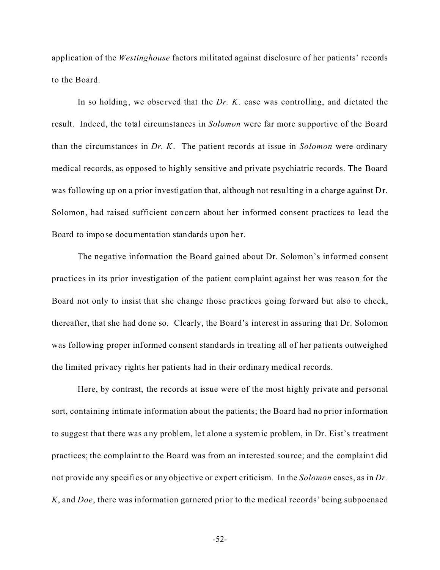application of the *Westinghouse* factors militated against disclosure of her patients' records to the Board.

In so holding, we observed that the *Dr. K.* case was controlling, and dictated the result. Indeed, the total circumstances in *Solomon* were far more supportive of the Board than the circumstances in *Dr. K*. The patient records at issue in *Solomon* were ordinary medical records, as opposed to highly sensitive and private psychiatric records. The Board was following up on a prior investigation that, although not resulting in a charge against Dr. Solomon, had raised sufficient concern about her informed consent practices to lead the Board to impose documentation standards upon her.

The negative information the Board gained about Dr. Solomon's informed consent practices in its prior investigation of the patient complaint against her was reason for the Board not only to insist that she change those practices going forward but also to check, thereafter, that she had done so. Clearly, the Board's interest in assuring that Dr. Solomon was following proper informed consent standards in treating all of her patients outweighed the limited privacy rights her patients had in their ordinary medical records.

Here, by contrast, the records at issue were of the most highly private and personal sort, containing intimate information about the patients; the Board had no prior information to suggest that there was any problem, let alone a systemic problem, in Dr. Eist's treatment practices; the complaint to the Board was from an interested source; and the complaint did not provide any specifics or any objective or expert criticism. In the *Solomon* cases, as in *Dr. K*, and *Doe*, there was information garnered prior to the medical records' being subpoenaed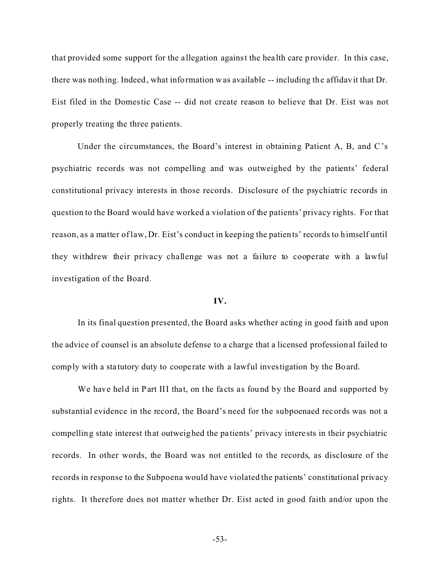that provided some support for the a llegation against the hea lth care provider. In this case, there was nothing. Indeed, what information was available -- including the affidavit that Dr. Eist filed in the Domestic Case -- did not create reason to believe that Dr. Eist was not properly treating the three patients.

Under the circumstances, the Board's interest in obtaining Patient A, B, and C's psychiatric records was not compelling and was outweighed by the patients' federal constitutional privacy interests in those records. Disclosure of the psychiatric records in question to the Board would have worked a violation of the patients' privacy rights. For that reason, as a matter of law, Dr. Eist's conduct in keeping the patients' records to himself until they withdrew their privacy challenge was not a failure to cooperate with a lawful investigation of the Board.

#### **IV.**

In its final question presented, the Board asks whether acting in good faith and upon the advice of counsel is an absolute defense to a charge that a licensed professional failed to comply with a sta tutory duty to coope rate with a lawful investigation by the Board.

We have held in Part III that, on the facts as found by the Board and supported by substantial evidence in the record, the Board's need for the subpoenaed records was not a compelling state interest that outweighed the pa tients' privacy intere sts in their psychiatric records. In other words, the Board was not entitled to the records, as disclosure of the records in response to the Subpoena would have violated the patients' constitutional privacy rights. It therefore does not matter whether Dr. Eist acted in good faith and/or upon the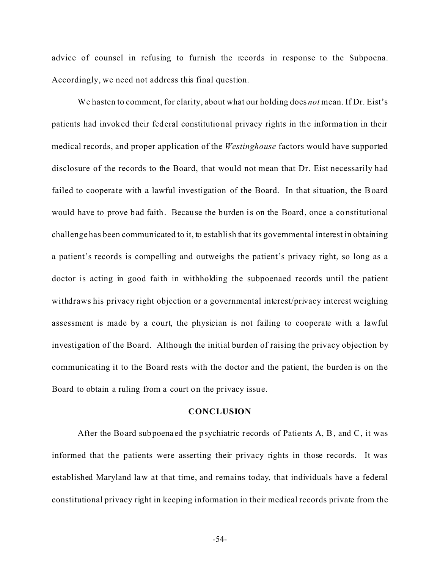advice of counsel in refusing to furnish the records in response to the Subpoena. Accordingly, we need not address this final question.

We hasten to comment, for clarity, about what our holding does *not* mean. If Dr. Eist's patients had invoked their federal constitutional privacy rights in the informa tion in their medical records, and proper application of the *Westinghouse* factors would have supported disclosure of the records to the Board, that would not mean that Dr. Eist necessarily had failed to cooperate with a lawful investigation of the Board. In that situation, the Board would have to prove bad faith. Because the burden is on the Board, once a constitutional challenge has been communicated to it, to establish that its governmental interest in obtaining a patient's records is compelling and outweighs the patient's privacy right, so long as a doctor is acting in good faith in withholding the subpoenaed records until the patient withdraws his privacy right objection or a governmental interest/privacy interest weighing assessment is made by a court, the physician is not failing to cooperate with a lawful investigation of the Board. Although the initial burden of raising the privacy objection by communicating it to the Board rests with the doctor and the patient, the burden is on the Board to obtain a ruling from a court on the privacy issue.

### **CONCLUSION**

After the Board subpoenaed the psychiatric records of Patients A, B, and C, it was informed that the patients were asserting their privacy rights in those records. It was established Maryland law at that time, and remains today, that individuals have a federal constitutional privacy right in keeping information in their medical records private from the